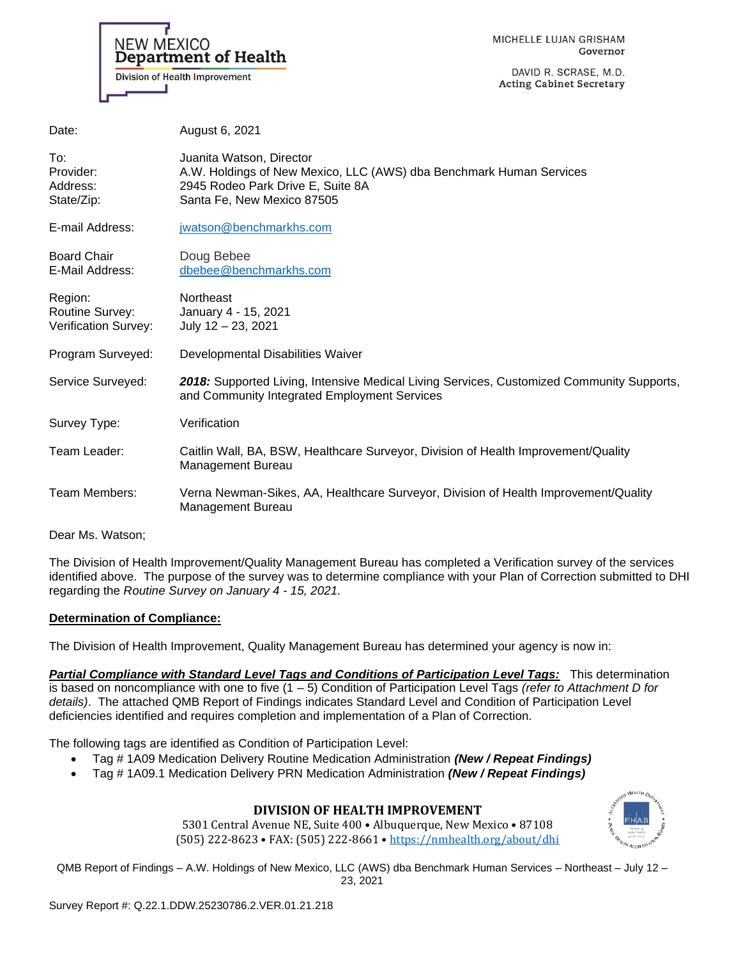NEW MEXICO **Department of Health** Division of Health Improvement

MICHELLE LUJAN GRISHAM Governor

DAVID R. SCRASE, M.D. **Acting Cabinet Secretary** 

| Date:                                                     | August 6, 2021                                                                                                                                                     |
|-----------------------------------------------------------|--------------------------------------------------------------------------------------------------------------------------------------------------------------------|
| To:<br>Provider:<br>Address:<br>State/Zip:                | Juanita Watson, Director<br>A.W. Holdings of New Mexico, LLC (AWS) dba Benchmark Human Services<br>2945 Rodeo Park Drive E, Suite 8A<br>Santa Fe, New Mexico 87505 |
| E-mail Address:                                           | jwatson@benchmarkhs.com                                                                                                                                            |
| <b>Board Chair</b><br>E-Mail Address:                     | Doug Bebee<br>dbebee@benchmarkhs.com                                                                                                                               |
| Region:<br>Routine Survey:<br><b>Verification Survey:</b> | Northeast<br>January 4 - 15, 2021<br>July 12 - 23, 2021                                                                                                            |
| Program Surveyed:                                         | Developmental Disabilities Waiver                                                                                                                                  |
| Service Surveyed:                                         | 2018: Supported Living, Intensive Medical Living Services, Customized Community Supports,<br>and Community Integrated Employment Services                          |
| Survey Type:                                              | Verification                                                                                                                                                       |
| Team Leader:                                              | Caitlin Wall, BA, BSW, Healthcare Surveyor, Division of Health Improvement/Quality<br>Management Bureau                                                            |
| Team Members:                                             | Verna Newman-Sikes, AA, Healthcare Surveyor, Division of Health Improvement/Quality<br><b>Management Bureau</b>                                                    |
|                                                           |                                                                                                                                                                    |

Dear Ms. Watson;

The Division of Health Improvement/Quality Management Bureau has completed a Verification survey of the services identified above. The purpose of the survey was to determine compliance with your Plan of Correction submitted to DHI regarding the *Routine Survey on January 4 - 15, 2021.*

#### **Determination of Compliance:**

The Division of Health Improvement, Quality Management Bureau has determined your agency is now in:

*Partial Compliance with Standard Level Tags and Conditions of Participation Level Tags:* This determination is based on noncompliance with one to five (1 – 5) Condition of Participation Level Tags *(refer to Attachment D for details)*. The attached QMB Report of Findings indicates Standard Level and Condition of Participation Level deficiencies identified and requires completion and implementation of a Plan of Correction.

The following tags are identified as Condition of Participation Level:

- Tag # 1A09 Medication Delivery Routine Medication Administration *(New / Repeat Findings)*
- Tag # 1A09.1 Medication Delivery PRN Medication Administration *(New / Repeat Findings)*

# **DIVISION OF HEALTH IMPROVEMENT**

5301 Central Avenue NE, Suite 400 • Albuquerque, New Mexico • 87108 (505) 222-8623 • FAX: (505) 222-8661 • <https://nmhealth.org/about/dhi>

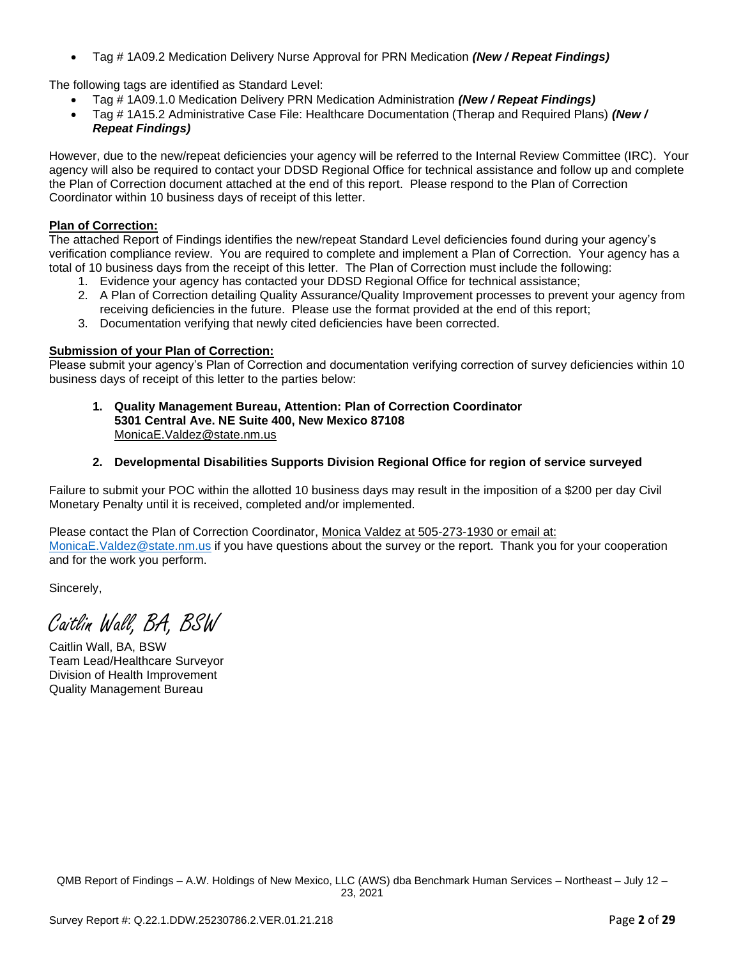• Tag # 1A09.2 Medication Delivery Nurse Approval for PRN Medication *(New / Repeat Findings)*

The following tags are identified as Standard Level:

- Tag # 1A09.1.0 Medication Delivery PRN Medication Administration *(New / Repeat Findings)*
- Tag # 1A15.2 Administrative Case File: Healthcare Documentation (Therap and Required Plans) *(New / Repeat Findings)*

However, due to the new/repeat deficiencies your agency will be referred to the Internal Review Committee (IRC). Your agency will also be required to contact your DDSD Regional Office for technical assistance and follow up and complete the Plan of Correction document attached at the end of this report. Please respond to the Plan of Correction Coordinator within 10 business days of receipt of this letter.

### **Plan of Correction:**

The attached Report of Findings identifies the new/repeat Standard Level deficiencies found during your agency's verification compliance review. You are required to complete and implement a Plan of Correction. Your agency has a total of 10 business days from the receipt of this letter. The Plan of Correction must include the following:

- 1. Evidence your agency has contacted your DDSD Regional Office for technical assistance;
- 2. A Plan of Correction detailing Quality Assurance/Quality Improvement processes to prevent your agency from receiving deficiencies in the future. Please use the format provided at the end of this report;
- 3. Documentation verifying that newly cited deficiencies have been corrected.

### **Submission of your Plan of Correction:**

Please submit your agency's Plan of Correction and documentation verifying correction of survey deficiencies within 10 business days of receipt of this letter to the parties below:

**1. Quality Management Bureau, Attention: Plan of Correction Coordinator 5301 Central Ave. NE Suite 400, New Mexico 87108** [MonicaE.Valdez@state.nm.us](mailto:MonicaE.Valdez@state.nm.us)

## **2. Developmental Disabilities Supports Division Regional Office for region of service surveyed**

Failure to submit your POC within the allotted 10 business days may result in the imposition of a \$200 per day Civil Monetary Penalty until it is received, completed and/or implemented.

Please contact the Plan of Correction Coordinator, Monica Valdez at 505-273-1930 or email at: [MonicaE.Valdez@state.nm.us](mailto:MonicaE.Valdez@state.nm.us) if you have questions about the survey or the report. Thank you for your cooperation and for the work you perform.

Sincerely,

Caitlin Wall, BA, BSW

Caitlin Wall, BA, BSW Team Lead/Healthcare Surveyor Division of Health Improvement Quality Management Bureau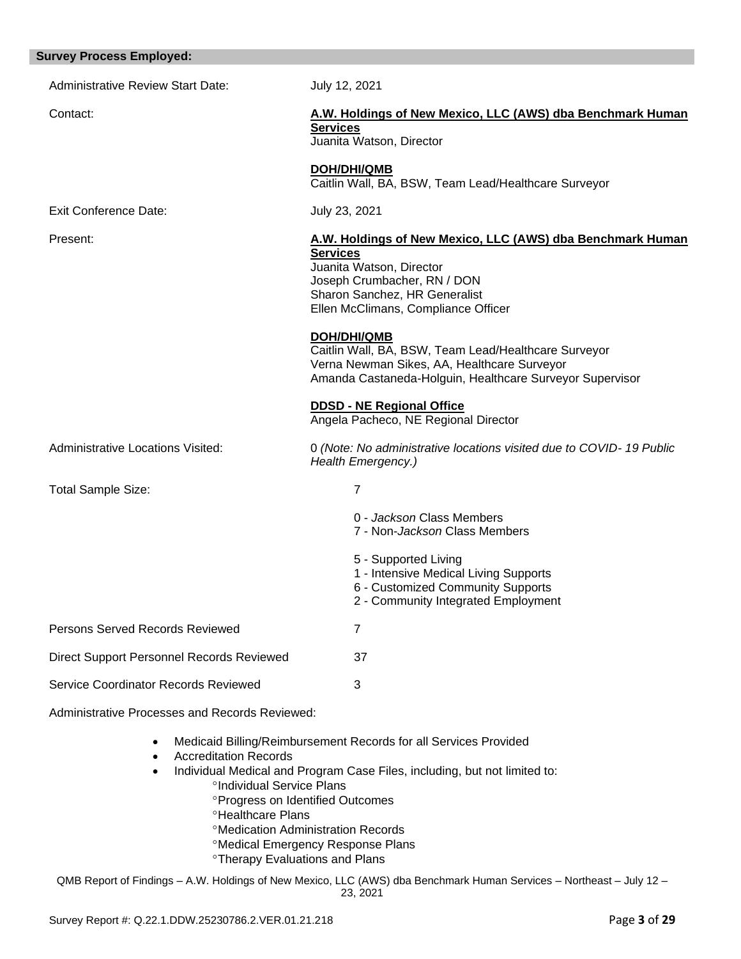| <b>Survey Process Employed:</b>                |                                                                                                                                                                                                                  |
|------------------------------------------------|------------------------------------------------------------------------------------------------------------------------------------------------------------------------------------------------------------------|
| <b>Administrative Review Start Date:</b>       | July 12, 2021                                                                                                                                                                                                    |
| Contact:                                       | A.W. Holdings of New Mexico, LLC (AWS) dba Benchmark Human<br><b>Services</b><br>Juanita Watson, Director                                                                                                        |
|                                                | <b>DOH/DHI/QMB</b><br>Caitlin Wall, BA, BSW, Team Lead/Healthcare Surveyor                                                                                                                                       |
| <b>Exit Conference Date:</b>                   | July 23, 2021                                                                                                                                                                                                    |
| Present:                                       | A.W. Holdings of New Mexico, LLC (AWS) dba Benchmark Human<br><b>Services</b><br>Juanita Watson, Director<br>Joseph Crumbacher, RN / DON<br>Sharon Sanchez, HR Generalist<br>Ellen McClimans, Compliance Officer |
|                                                | DOH/DHI/QMB<br>Caitlin Wall, BA, BSW, Team Lead/Healthcare Surveyor<br>Verna Newman Sikes, AA, Healthcare Surveyor<br>Amanda Castaneda-Holguin, Healthcare Surveyor Supervisor                                   |
|                                                | <b>DDSD - NE Regional Office</b><br>Angela Pacheco, NE Regional Director                                                                                                                                         |
| <b>Administrative Locations Visited:</b>       | 0 (Note: No administrative locations visited due to COVID-19 Public<br>Health Emergency.)                                                                                                                        |
| <b>Total Sample Size:</b>                      | $\overline{7}$                                                                                                                                                                                                   |
|                                                | 0 - Jackson Class Members<br>7 - Non-Jackson Class Members                                                                                                                                                       |
|                                                | 5 - Supported Living<br>1 - Intensive Medical Living Supports<br>6 - Customized Community Supports<br>2 - Community Integrated Employment                                                                        |
| <b>Persons Served Records Reviewed</b>         | $\overline{7}$                                                                                                                                                                                                   |
| Direct Support Personnel Records Reviewed      | 37                                                                                                                                                                                                               |
| Service Coordinator Records Reviewed           | 3                                                                                                                                                                                                                |
| Administrative Processes and Records Reviewed: |                                                                                                                                                                                                                  |
| $\bullet$                                      | Medicaid Billing/Reimbursement Records for all Services Provided                                                                                                                                                 |

- Accreditation Records
- Individual Medical and Program Case Files, including, but not limited to: <sup>o</sup>Individual Service Plans
	- **Progress on Identified Outcomes**
	- **<sup>o</sup>Healthcare Plans**
	- Medication Administration Records
	- Medical Emergency Response Plans
	- **<sup>o</sup>Therapy Evaluations and Plans**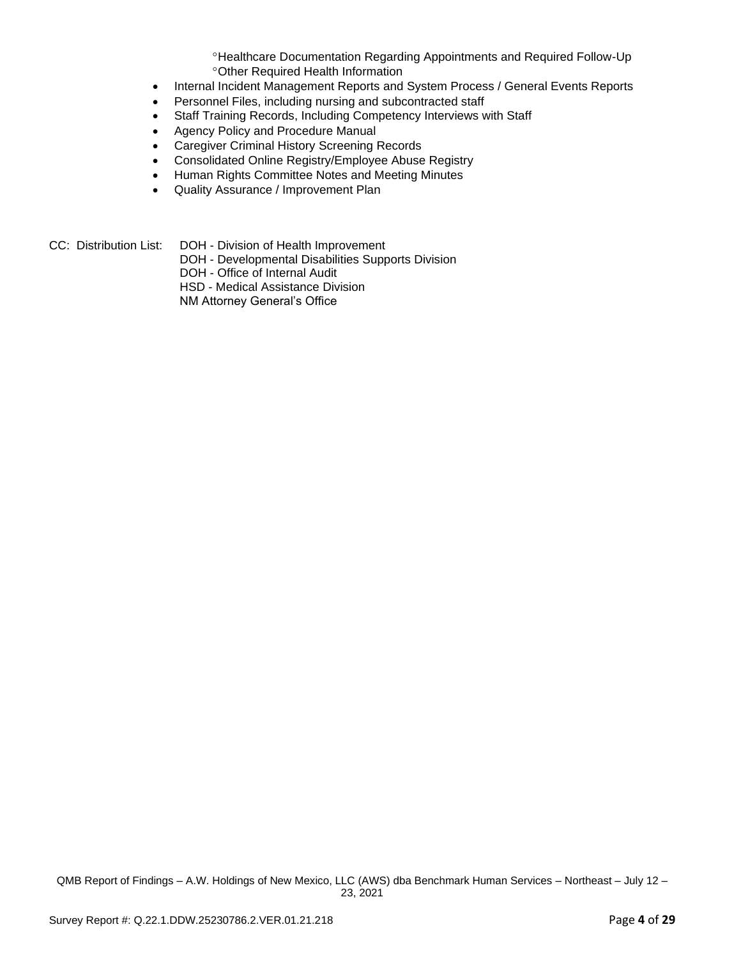Healthcare Documentation Regarding Appointments and Required Follow-Up Other Required Health Information

- Internal Incident Management Reports and System Process / General Events Reports
- Personnel Files, including nursing and subcontracted staff
- Staff Training Records, Including Competency Interviews with Staff
- Agency Policy and Procedure Manual
- Caregiver Criminal History Screening Records
- Consolidated Online Registry/Employee Abuse Registry
- Human Rights Committee Notes and Meeting Minutes
- Quality Assurance / Improvement Plan
- CC: Distribution List: DOH Division of Health Improvement
	- DOH Developmental Disabilities Supports Division
	- DOH Office of Internal Audit
	- HSD Medical Assistance Division
	- NM Attorney General's Office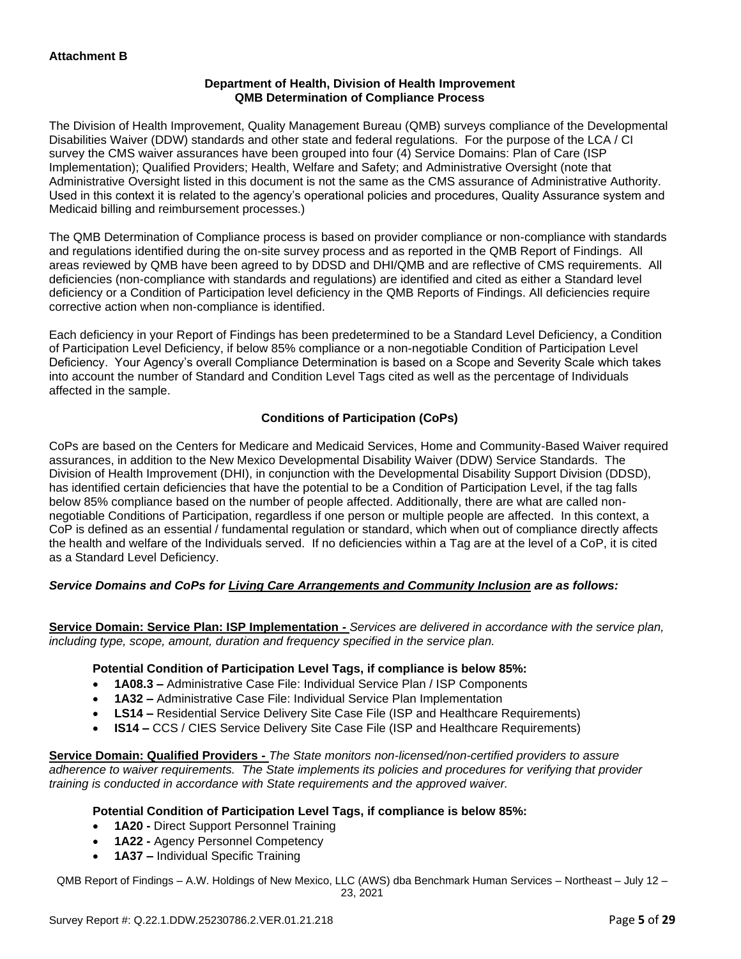### **Department of Health, Division of Health Improvement QMB Determination of Compliance Process**

The Division of Health Improvement, Quality Management Bureau (QMB) surveys compliance of the Developmental Disabilities Waiver (DDW) standards and other state and federal regulations. For the purpose of the LCA / CI survey the CMS waiver assurances have been grouped into four (4) Service Domains: Plan of Care (ISP Implementation); Qualified Providers; Health, Welfare and Safety; and Administrative Oversight (note that Administrative Oversight listed in this document is not the same as the CMS assurance of Administrative Authority. Used in this context it is related to the agency's operational policies and procedures, Quality Assurance system and Medicaid billing and reimbursement processes.)

The QMB Determination of Compliance process is based on provider compliance or non-compliance with standards and regulations identified during the on-site survey process and as reported in the QMB Report of Findings. All areas reviewed by QMB have been agreed to by DDSD and DHI/QMB and are reflective of CMS requirements. All deficiencies (non-compliance with standards and regulations) are identified and cited as either a Standard level deficiency or a Condition of Participation level deficiency in the QMB Reports of Findings. All deficiencies require corrective action when non-compliance is identified.

Each deficiency in your Report of Findings has been predetermined to be a Standard Level Deficiency, a Condition of Participation Level Deficiency, if below 85% compliance or a non-negotiable Condition of Participation Level Deficiency. Your Agency's overall Compliance Determination is based on a Scope and Severity Scale which takes into account the number of Standard and Condition Level Tags cited as well as the percentage of Individuals affected in the sample.

## **Conditions of Participation (CoPs)**

CoPs are based on the Centers for Medicare and Medicaid Services, Home and Community-Based Waiver required assurances, in addition to the New Mexico Developmental Disability Waiver (DDW) Service Standards. The Division of Health Improvement (DHI), in conjunction with the Developmental Disability Support Division (DDSD), has identified certain deficiencies that have the potential to be a Condition of Participation Level, if the tag falls below 85% compliance based on the number of people affected. Additionally, there are what are called nonnegotiable Conditions of Participation, regardless if one person or multiple people are affected. In this context, a CoP is defined as an essential / fundamental regulation or standard, which when out of compliance directly affects the health and welfare of the Individuals served. If no deficiencies within a Tag are at the level of a CoP, it is cited as a Standard Level Deficiency.

## *Service Domains and CoPs for Living Care Arrangements and Community Inclusion are as follows:*

**Service Domain: Service Plan: ISP Implementation -** *Services are delivered in accordance with the service plan, including type, scope, amount, duration and frequency specified in the service plan.*

#### **Potential Condition of Participation Level Tags, if compliance is below 85%:**

- **1A08.3 –** Administrative Case File: Individual Service Plan / ISP Components
- **1A32 –** Administrative Case File: Individual Service Plan Implementation
- **LS14 –** Residential Service Delivery Site Case File (ISP and Healthcare Requirements)
- **IS14 –** CCS / CIES Service Delivery Site Case File (ISP and Healthcare Requirements)

**Service Domain: Qualified Providers -** *The State monitors non-licensed/non-certified providers to assure adherence to waiver requirements. The State implements its policies and procedures for verifying that provider training is conducted in accordance with State requirements and the approved waiver.*

## **Potential Condition of Participation Level Tags, if compliance is below 85%:**

- **1A20 -** Direct Support Personnel Training
- **1A22 -** Agency Personnel Competency
- **1A37 –** Individual Specific Training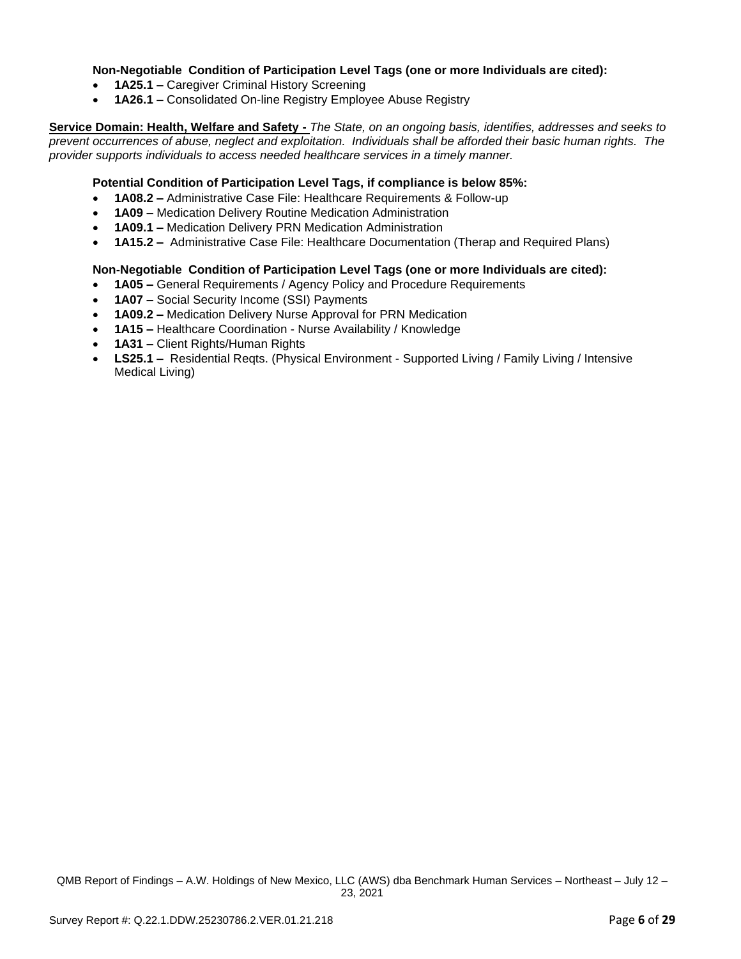### **Non-Negotiable Condition of Participation Level Tags (one or more Individuals are cited):**

- **1A25.1 –** Caregiver Criminal History Screening
- **1A26.1 –** Consolidated On-line Registry Employee Abuse Registry

**Service Domain: Health, Welfare and Safety -** *The State, on an ongoing basis, identifies, addresses and seeks to prevent occurrences of abuse, neglect and exploitation. Individuals shall be afforded their basic human rights. The provider supports individuals to access needed healthcare services in a timely manner.*

### **Potential Condition of Participation Level Tags, if compliance is below 85%:**

- **1A08.2 –** Administrative Case File: Healthcare Requirements & Follow-up
- **1A09 –** Medication Delivery Routine Medication Administration
- **1A09.1 –** Medication Delivery PRN Medication Administration
- **1A15.2 –** Administrative Case File: Healthcare Documentation (Therap and Required Plans)

### **Non-Negotiable Condition of Participation Level Tags (one or more Individuals are cited):**

- **1A05 –** General Requirements / Agency Policy and Procedure Requirements
- **1A07 –** Social Security Income (SSI) Payments
- **1A09.2 –** Medication Delivery Nurse Approval for PRN Medication
- **1A15 –** Healthcare Coordination Nurse Availability / Knowledge
- **1A31 –** Client Rights/Human Rights
- **LS25.1 –** Residential Reqts. (Physical Environment Supported Living / Family Living / Intensive Medical Living)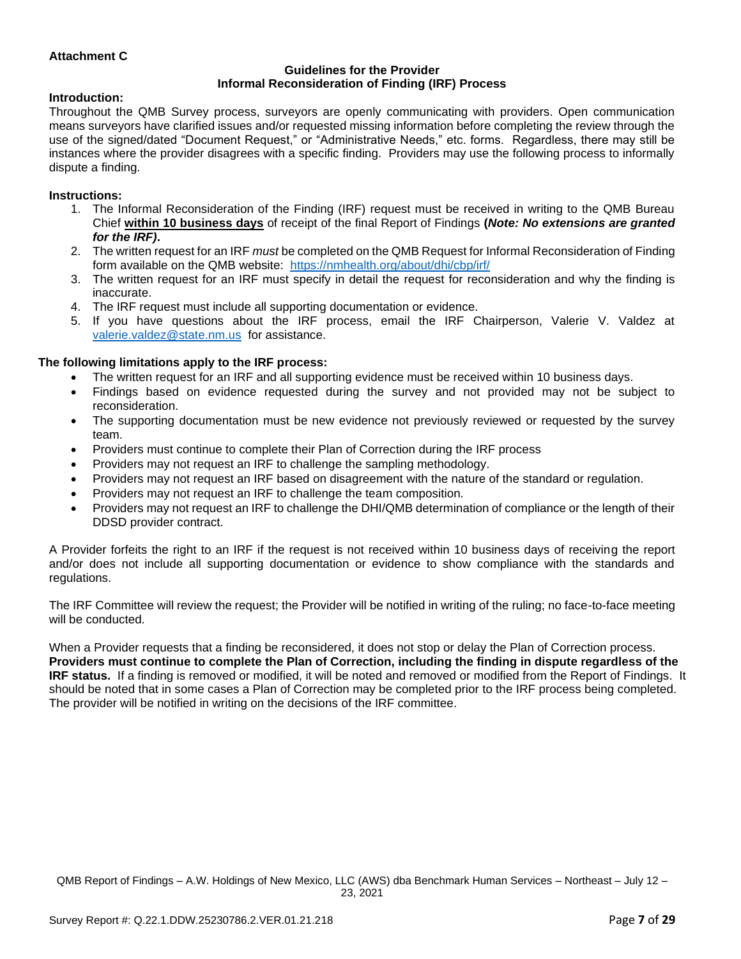### **Attachment C**

#### **Guidelines for the Provider Informal Reconsideration of Finding (IRF) Process**

#### **Introduction:**

Throughout the QMB Survey process, surveyors are openly communicating with providers. Open communication means surveyors have clarified issues and/or requested missing information before completing the review through the use of the signed/dated "Document Request," or "Administrative Needs," etc. forms. Regardless, there may still be instances where the provider disagrees with a specific finding. Providers may use the following process to informally dispute a finding.

#### **Instructions:**

- 1. The Informal Reconsideration of the Finding (IRF) request must be received in writing to the QMB Bureau Chief **within 10 business days** of receipt of the final Report of Findings **(***Note: No extensions are granted for the IRF)***.**
- 2. The written request for an IRF *must* be completed on the QMB Request for Informal Reconsideration of Finding form available on the QMB website: <https://nmhealth.org/about/dhi/cbp/irf/>
- 3. The written request for an IRF must specify in detail the request for reconsideration and why the finding is inaccurate.
- 4. The IRF request must include all supporting documentation or evidence.
- 5. If you have questions about the IRF process, email the IRF Chairperson, Valerie V. Valdez at [valerie.valdez@state.nm.us](mailto:valerie.valdez@state.nm.us) for assistance.

#### **The following limitations apply to the IRF process:**

- The written request for an IRF and all supporting evidence must be received within 10 business days.
- Findings based on evidence requested during the survey and not provided may not be subject to reconsideration.
- The supporting documentation must be new evidence not previously reviewed or requested by the survey team.
- Providers must continue to complete their Plan of Correction during the IRF process
- Providers may not request an IRF to challenge the sampling methodology.
- Providers may not request an IRF based on disagreement with the nature of the standard or regulation.
- Providers may not request an IRF to challenge the team composition.
- Providers may not request an IRF to challenge the DHI/QMB determination of compliance or the length of their DDSD provider contract.

A Provider forfeits the right to an IRF if the request is not received within 10 business days of receiving the report and/or does not include all supporting documentation or evidence to show compliance with the standards and regulations.

The IRF Committee will review the request; the Provider will be notified in writing of the ruling; no face-to-face meeting will be conducted.

When a Provider requests that a finding be reconsidered, it does not stop or delay the Plan of Correction process. **Providers must continue to complete the Plan of Correction, including the finding in dispute regardless of the IRF status.** If a finding is removed or modified, it will be noted and removed or modified from the Report of Findings. It should be noted that in some cases a Plan of Correction may be completed prior to the IRF process being completed. The provider will be notified in writing on the decisions of the IRF committee.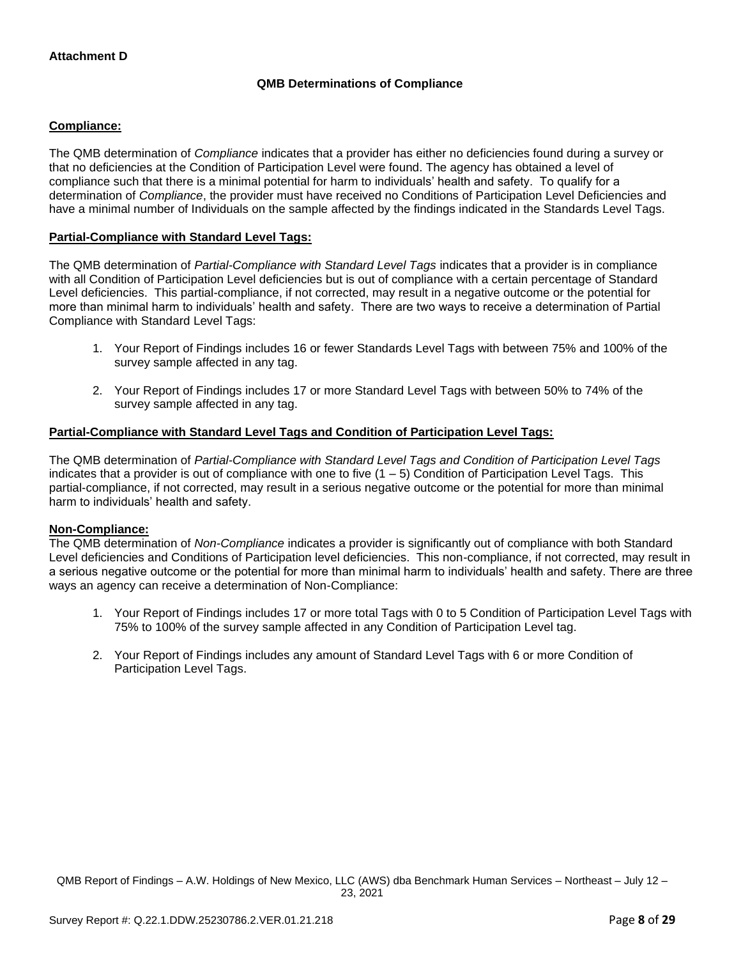## **QMB Determinations of Compliance**

### **Compliance:**

The QMB determination of *Compliance* indicates that a provider has either no deficiencies found during a survey or that no deficiencies at the Condition of Participation Level were found. The agency has obtained a level of compliance such that there is a minimal potential for harm to individuals' health and safety. To qualify for a determination of *Compliance*, the provider must have received no Conditions of Participation Level Deficiencies and have a minimal number of Individuals on the sample affected by the findings indicated in the Standards Level Tags.

### **Partial-Compliance with Standard Level Tags:**

The QMB determination of *Partial-Compliance with Standard Level Tags* indicates that a provider is in compliance with all Condition of Participation Level deficiencies but is out of compliance with a certain percentage of Standard Level deficiencies. This partial-compliance, if not corrected, may result in a negative outcome or the potential for more than minimal harm to individuals' health and safety. There are two ways to receive a determination of Partial Compliance with Standard Level Tags:

- 1. Your Report of Findings includes 16 or fewer Standards Level Tags with between 75% and 100% of the survey sample affected in any tag.
- 2. Your Report of Findings includes 17 or more Standard Level Tags with between 50% to 74% of the survey sample affected in any tag.

## **Partial-Compliance with Standard Level Tags and Condition of Participation Level Tags:**

The QMB determination of *Partial-Compliance with Standard Level Tags and Condition of Participation Level Tags*  indicates that a provider is out of compliance with one to five  $(1 - 5)$  Condition of Participation Level Tags. This partial-compliance, if not corrected, may result in a serious negative outcome or the potential for more than minimal harm to individuals' health and safety.

#### **Non-Compliance:**

The QMB determination of *Non-Compliance* indicates a provider is significantly out of compliance with both Standard Level deficiencies and Conditions of Participation level deficiencies. This non-compliance, if not corrected, may result in a serious negative outcome or the potential for more than minimal harm to individuals' health and safety. There are three ways an agency can receive a determination of Non-Compliance:

- 1. Your Report of Findings includes 17 or more total Tags with 0 to 5 Condition of Participation Level Tags with 75% to 100% of the survey sample affected in any Condition of Participation Level tag.
- 2. Your Report of Findings includes any amount of Standard Level Tags with 6 or more Condition of Participation Level Tags.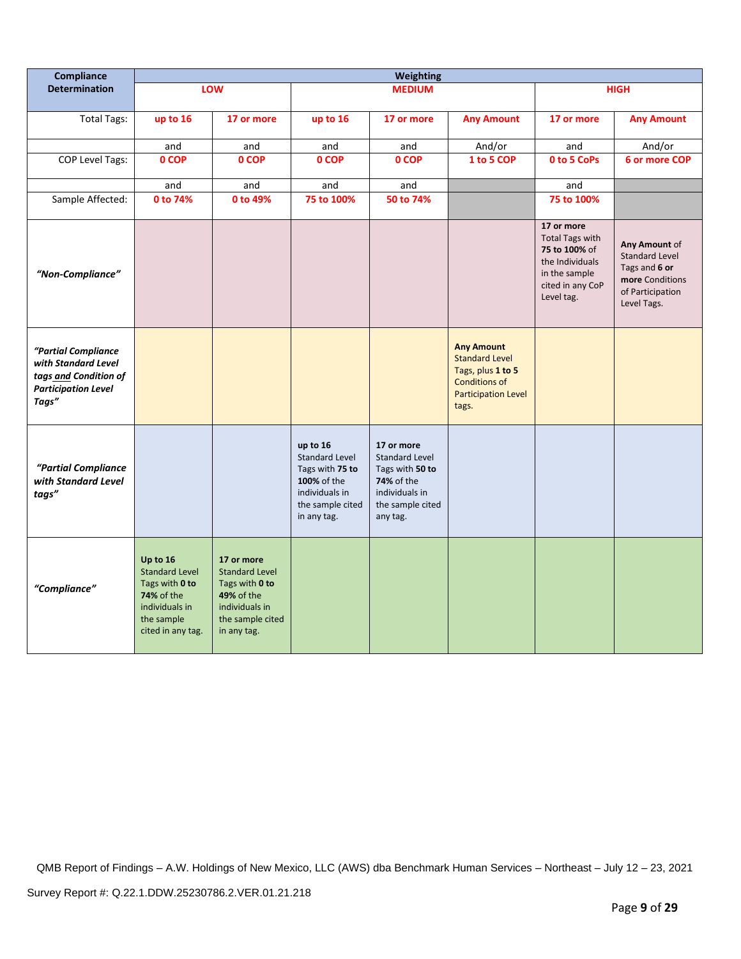| Compliance                                                                                                 | <b>Weighting</b>                                                                                                              |                                                                                                                                 |                                                                                                                          |                                                                                                                               |                                                                                                                                |                                                                                                                             |                                                                                                               |
|------------------------------------------------------------------------------------------------------------|-------------------------------------------------------------------------------------------------------------------------------|---------------------------------------------------------------------------------------------------------------------------------|--------------------------------------------------------------------------------------------------------------------------|-------------------------------------------------------------------------------------------------------------------------------|--------------------------------------------------------------------------------------------------------------------------------|-----------------------------------------------------------------------------------------------------------------------------|---------------------------------------------------------------------------------------------------------------|
| <b>Determination</b>                                                                                       |                                                                                                                               | LOW                                                                                                                             | <b>MEDIUM</b>                                                                                                            |                                                                                                                               |                                                                                                                                | <b>HIGH</b>                                                                                                                 |                                                                                                               |
| <b>Total Tags:</b>                                                                                         | up to 16                                                                                                                      | 17 or more                                                                                                                      | up to 16                                                                                                                 | 17 or more                                                                                                                    | <b>Any Amount</b>                                                                                                              | 17 or more                                                                                                                  | <b>Any Amount</b>                                                                                             |
|                                                                                                            | and                                                                                                                           | and                                                                                                                             | and                                                                                                                      | and                                                                                                                           | And/or                                                                                                                         | and                                                                                                                         | And/or                                                                                                        |
| COP Level Tags:                                                                                            | 0 COP                                                                                                                         | 0 COP                                                                                                                           | 0 COP                                                                                                                    | 0 COP                                                                                                                         | 1 to 5 COP                                                                                                                     | 0 to 5 CoPs                                                                                                                 | 6 or more COP                                                                                                 |
|                                                                                                            | and                                                                                                                           | and                                                                                                                             | and                                                                                                                      | and                                                                                                                           |                                                                                                                                | and                                                                                                                         |                                                                                                               |
| Sample Affected:                                                                                           | 0 to 74%                                                                                                                      | 0 to 49%                                                                                                                        | 75 to 100%                                                                                                               | 50 to 74%                                                                                                                     |                                                                                                                                | 75 to 100%                                                                                                                  |                                                                                                               |
| "Non-Compliance"                                                                                           |                                                                                                                               |                                                                                                                                 |                                                                                                                          |                                                                                                                               |                                                                                                                                | 17 or more<br><b>Total Tags with</b><br>75 to 100% of<br>the Individuals<br>in the sample<br>cited in any CoP<br>Level tag. | Any Amount of<br><b>Standard Level</b><br>Tags and 6 or<br>more Conditions<br>of Participation<br>Level Tags. |
| "Partial Compliance<br>with Standard Level<br>tags and Condition of<br><b>Participation Level</b><br>Tags" |                                                                                                                               |                                                                                                                                 |                                                                                                                          |                                                                                                                               | <b>Any Amount</b><br><b>Standard Level</b><br>Tags, plus 1 to 5<br><b>Conditions of</b><br><b>Participation Level</b><br>tags. |                                                                                                                             |                                                                                                               |
| "Partial Compliance<br>with Standard Level<br>tags"                                                        |                                                                                                                               |                                                                                                                                 | up to 16<br><b>Standard Level</b><br>Tags with 75 to<br>100% of the<br>individuals in<br>the sample cited<br>in any tag. | 17 or more<br><b>Standard Level</b><br>Tags with 50 to<br><b>74%</b> of the<br>individuals in<br>the sample cited<br>any tag. |                                                                                                                                |                                                                                                                             |                                                                                                               |
| "Compliance"                                                                                               | Up to 16<br><b>Standard Level</b><br>Tags with 0 to<br><b>74% of the</b><br>individuals in<br>the sample<br>cited in any tag. | 17 or more<br><b>Standard Level</b><br>Tags with 0 to<br><b>49% of the</b><br>individuals in<br>the sample cited<br>in any tag. |                                                                                                                          |                                                                                                                               |                                                                                                                                |                                                                                                                             |                                                                                                               |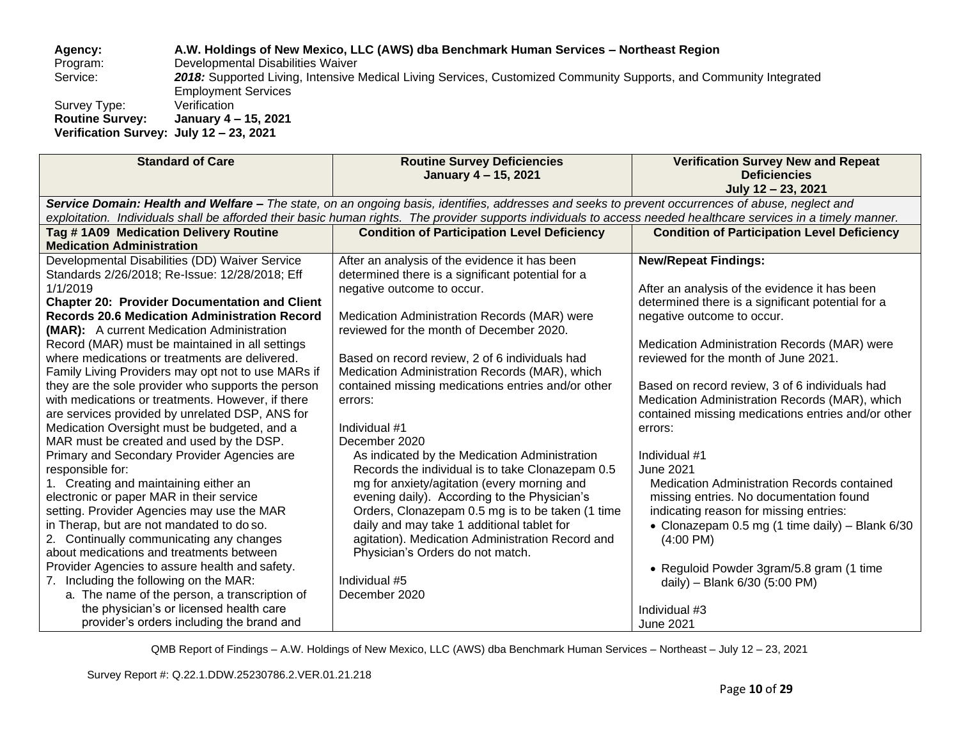**Agency: A.W. Holdings of New Mexico, LLC (AWS) dba Benchmark Human Services – Northeast Region**

Program: Developmental Disabilities Waiver<br>Service: 2018: Supported Living, Intensive I

2018: Supported Living, Intensive Medical Living Services, Customized Community Supports, and Community Integrated Employment Services

Survey Type: Verification<br> **Routine Survey:** January 4 -**Routine Survey: January 4 – 15, 2021 Verification Survey: July 12 – 23, 2021**

| <b>Standard of Care</b>                                                                                                                                                                                                                                                                                                                                                                                                                                                                                                                                                                                                                                                                                                                                                                                                                                                                                                                            | <b>Routine Survey Deficiencies</b><br>January 4 - 15, 2021                                                                                                                                                                                                                                                                                                                                                                                                                                                                                                                                                                                                                                                                                | <b>Verification Survey New and Repeat</b><br><b>Deficiencies</b><br>July 12 - 23, 2021                                                                                                                                                                                                                                                                                                                                                                                                                                                                                                                                                                            |  |  |  |
|----------------------------------------------------------------------------------------------------------------------------------------------------------------------------------------------------------------------------------------------------------------------------------------------------------------------------------------------------------------------------------------------------------------------------------------------------------------------------------------------------------------------------------------------------------------------------------------------------------------------------------------------------------------------------------------------------------------------------------------------------------------------------------------------------------------------------------------------------------------------------------------------------------------------------------------------------|-------------------------------------------------------------------------------------------------------------------------------------------------------------------------------------------------------------------------------------------------------------------------------------------------------------------------------------------------------------------------------------------------------------------------------------------------------------------------------------------------------------------------------------------------------------------------------------------------------------------------------------------------------------------------------------------------------------------------------------------|-------------------------------------------------------------------------------------------------------------------------------------------------------------------------------------------------------------------------------------------------------------------------------------------------------------------------------------------------------------------------------------------------------------------------------------------------------------------------------------------------------------------------------------------------------------------------------------------------------------------------------------------------------------------|--|--|--|
| Service Domain: Health and Welfare - The state, on an ongoing basis, identifies, addresses and seeks to prevent occurrences of abuse, neglect and<br>exploitation. Individuals shall be afforded their basic human rights. The provider supports individuals to access needed healthcare services in a timely manner.                                                                                                                                                                                                                                                                                                                                                                                                                                                                                                                                                                                                                              |                                                                                                                                                                                                                                                                                                                                                                                                                                                                                                                                                                                                                                                                                                                                           |                                                                                                                                                                                                                                                                                                                                                                                                                                                                                                                                                                                                                                                                   |  |  |  |
| Tag #1A09 Medication Delivery Routine<br><b>Medication Administration</b>                                                                                                                                                                                                                                                                                                                                                                                                                                                                                                                                                                                                                                                                                                                                                                                                                                                                          | <b>Condition of Participation Level Deficiency</b>                                                                                                                                                                                                                                                                                                                                                                                                                                                                                                                                                                                                                                                                                        | <b>Condition of Participation Level Deficiency</b>                                                                                                                                                                                                                                                                                                                                                                                                                                                                                                                                                                                                                |  |  |  |
| Developmental Disabilities (DD) Waiver Service<br>Standards 2/26/2018; Re-Issue: 12/28/2018; Eff<br>1/1/2019<br><b>Chapter 20: Provider Documentation and Client</b><br><b>Records 20.6 Medication Administration Record</b><br>(MAR): A current Medication Administration<br>Record (MAR) must be maintained in all settings<br>where medications or treatments are delivered.<br>Family Living Providers may opt not to use MARs if<br>they are the sole provider who supports the person<br>with medications or treatments. However, if there<br>are services provided by unrelated DSP, ANS for<br>Medication Oversight must be budgeted, and a<br>MAR must be created and used by the DSP.<br>Primary and Secondary Provider Agencies are<br>responsible for:<br>1. Creating and maintaining either an<br>electronic or paper MAR in their service<br>setting. Provider Agencies may use the MAR<br>in Therap, but are not mandated to do so. | After an analysis of the evidence it has been<br>determined there is a significant potential for a<br>negative outcome to occur.<br>Medication Administration Records (MAR) were<br>reviewed for the month of December 2020.<br>Based on record review, 2 of 6 individuals had<br>Medication Administration Records (MAR), which<br>contained missing medications entries and/or other<br>errors:<br>Individual #1<br>December 2020<br>As indicated by the Medication Administration<br>Records the individual is to take Clonazepam 0.5<br>mg for anxiety/agitation (every morning and<br>evening daily). According to the Physician's<br>Orders, Clonazepam 0.5 mg is to be taken (1 time<br>daily and may take 1 additional tablet for | <b>New/Repeat Findings:</b><br>After an analysis of the evidence it has been<br>determined there is a significant potential for a<br>negative outcome to occur.<br>Medication Administration Records (MAR) were<br>reviewed for the month of June 2021.<br>Based on record review, 3 of 6 individuals had<br>Medication Administration Records (MAR), which<br>contained missing medications entries and/or other<br>errors:<br>Individual #1<br><b>June 2021</b><br><b>Medication Administration Records contained</b><br>missing entries. No documentation found<br>indicating reason for missing entries:<br>• Clonazepam 0.5 mg (1 time daily) – Blank $6/30$ |  |  |  |
| 2. Continually communicating any changes<br>about medications and treatments between<br>Provider Agencies to assure health and safety.<br>7. Including the following on the MAR:<br>a. The name of the person, a transcription of<br>the physician's or licensed health care<br>provider's orders including the brand and                                                                                                                                                                                                                                                                                                                                                                                                                                                                                                                                                                                                                          | agitation). Medication Administration Record and<br>Physician's Orders do not match.<br>Individual #5<br>December 2020                                                                                                                                                                                                                                                                                                                                                                                                                                                                                                                                                                                                                    | $(4:00 \text{ PM})$<br>• Reguloid Powder 3gram/5.8 gram (1 time<br>daily) - Blank 6/30 (5:00 PM)<br>Individual #3<br><b>June 2021</b>                                                                                                                                                                                                                                                                                                                                                                                                                                                                                                                             |  |  |  |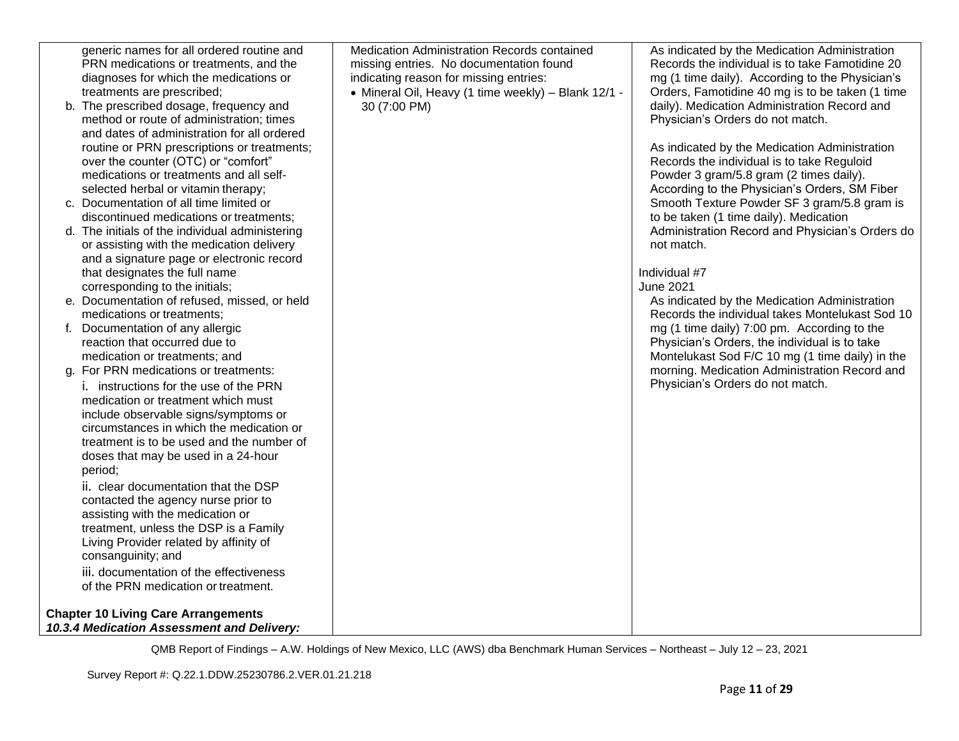| generic names for all ordered routine and<br>PRN medications or treatments, and the          | <b>Medication Administration Records contained</b><br>missing entries. No documentation found | As indicated by the Medication Administration<br>Records the individual is to take Famotidine 20 |
|----------------------------------------------------------------------------------------------|-----------------------------------------------------------------------------------------------|--------------------------------------------------------------------------------------------------|
| diagnoses for which the medications or                                                       | indicating reason for missing entries:                                                        | mg (1 time daily). According to the Physician's                                                  |
| treatments are prescribed;                                                                   | • Mineral Oil, Heavy (1 time weekly) - Blank 12/1 -                                           | Orders, Famotidine 40 mg is to be taken (1 time                                                  |
| b. The prescribed dosage, frequency and                                                      | 30 (7:00 PM)                                                                                  | daily). Medication Administration Record and                                                     |
| method or route of administration; times                                                     |                                                                                               | Physician's Orders do not match.                                                                 |
| and dates of administration for all ordered                                                  |                                                                                               |                                                                                                  |
| routine or PRN prescriptions or treatments;                                                  |                                                                                               | As indicated by the Medication Administration                                                    |
| over the counter (OTC) or "comfort"                                                          |                                                                                               | Records the individual is to take Reguloid                                                       |
| medications or treatments and all self-                                                      |                                                                                               | Powder 3 gram/5.8 gram (2 times daily).                                                          |
| selected herbal or vitamin therapy;                                                          |                                                                                               | According to the Physician's Orders, SM Fiber                                                    |
| c. Documentation of all time limited or                                                      |                                                                                               | Smooth Texture Powder SF 3 gram/5.8 gram is                                                      |
| discontinued medications or treatments;                                                      |                                                                                               | to be taken (1 time daily). Medication<br>Administration Record and Physician's Orders do        |
| d. The initials of the individual administering<br>or assisting with the medication delivery |                                                                                               | not match.                                                                                       |
| and a signature page or electronic record                                                    |                                                                                               |                                                                                                  |
| that designates the full name                                                                |                                                                                               | Individual #7                                                                                    |
| corresponding to the initials;                                                               |                                                                                               | <b>June 2021</b>                                                                                 |
| e. Documentation of refused, missed, or held                                                 |                                                                                               | As indicated by the Medication Administration                                                    |
| medications or treatments;                                                                   |                                                                                               | Records the individual takes Montelukast Sod 10                                                  |
| f. Documentation of any allergic                                                             |                                                                                               | mg (1 time daily) 7:00 pm. According to the                                                      |
| reaction that occurred due to                                                                |                                                                                               | Physician's Orders, the individual is to take                                                    |
| medication or treatments; and                                                                |                                                                                               | Montelukast Sod F/C 10 mg (1 time daily) in the                                                  |
| g. For PRN medications or treatments:                                                        |                                                                                               | morning. Medication Administration Record and                                                    |
| i. instructions for the use of the PRN                                                       |                                                                                               | Physician's Orders do not match.                                                                 |
| medication or treatment which must                                                           |                                                                                               |                                                                                                  |
| include observable signs/symptoms or                                                         |                                                                                               |                                                                                                  |
| circumstances in which the medication or<br>treatment is to be used and the number of        |                                                                                               |                                                                                                  |
| doses that may be used in a 24-hour                                                          |                                                                                               |                                                                                                  |
| period:                                                                                      |                                                                                               |                                                                                                  |
| ii. clear documentation that the DSP                                                         |                                                                                               |                                                                                                  |
| contacted the agency nurse prior to                                                          |                                                                                               |                                                                                                  |
| assisting with the medication or                                                             |                                                                                               |                                                                                                  |
| treatment, unless the DSP is a Family                                                        |                                                                                               |                                                                                                  |
| Living Provider related by affinity of                                                       |                                                                                               |                                                                                                  |
| consanguinity; and                                                                           |                                                                                               |                                                                                                  |
| iii. documentation of the effectiveness                                                      |                                                                                               |                                                                                                  |
| of the PRN medication or treatment.                                                          |                                                                                               |                                                                                                  |
| <b>Chapter 10 Living Care Arrangements</b>                                                   |                                                                                               |                                                                                                  |
| 10.3.4 Medication Assessment and Delivery:                                                   |                                                                                               |                                                                                                  |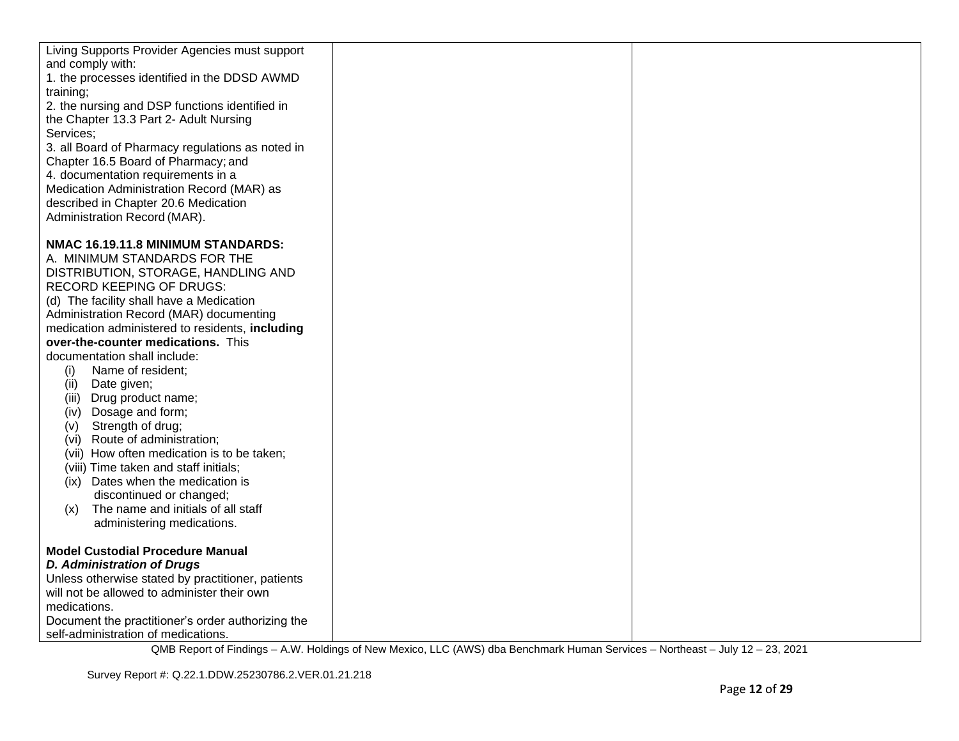| Living Supports Provider Agencies must support                      |  |
|---------------------------------------------------------------------|--|
| and comply with:                                                    |  |
| 1. the processes identified in the DDSD AWMD                        |  |
| training;                                                           |  |
| 2. the nursing and DSP functions identified in                      |  |
| the Chapter 13.3 Part 2- Adult Nursing                              |  |
| Services;                                                           |  |
| 3. all Board of Pharmacy regulations as noted in                    |  |
| Chapter 16.5 Board of Pharmacy; and                                 |  |
| 4. documentation requirements in a                                  |  |
| Medication Administration Record (MAR) as                           |  |
| described in Chapter 20.6 Medication                                |  |
| Administration Record (MAR).                                        |  |
| NMAC 16.19.11.8 MINIMUM STANDARDS:                                  |  |
|                                                                     |  |
| A. MINIMUM STANDARDS FOR THE<br>DISTRIBUTION, STORAGE, HANDLING AND |  |
| RECORD KEEPING OF DRUGS:                                            |  |
| (d) The facility shall have a Medication                            |  |
| Administration Record (MAR) documenting                             |  |
| medication administered to residents, including                     |  |
| over-the-counter medications. This                                  |  |
| documentation shall include:                                        |  |
| Name of resident;<br>(i)                                            |  |
| (ii)<br>Date given;                                                 |  |
| (iii) Drug product name;                                            |  |
| (iv) Dosage and form;                                               |  |
| Strength of drug;<br>(v)                                            |  |
| (vi) Route of administration;                                       |  |
| (vii) How often medication is to be taken;                          |  |
| (viii) Time taken and staff initials;                               |  |
| (ix) Dates when the medication is                                   |  |
| discontinued or changed;                                            |  |
| The name and initials of all staff<br>(x)                           |  |
| administering medications.                                          |  |
|                                                                     |  |
| <b>Model Custodial Procedure Manual</b>                             |  |
| <b>D. Administration of Drugs</b>                                   |  |
| Unless otherwise stated by practitioner, patients                   |  |
| will not be allowed to administer their own                         |  |
| medications.                                                        |  |
| Document the practitioner's order authorizing the                   |  |
| self-administration of medications.                                 |  |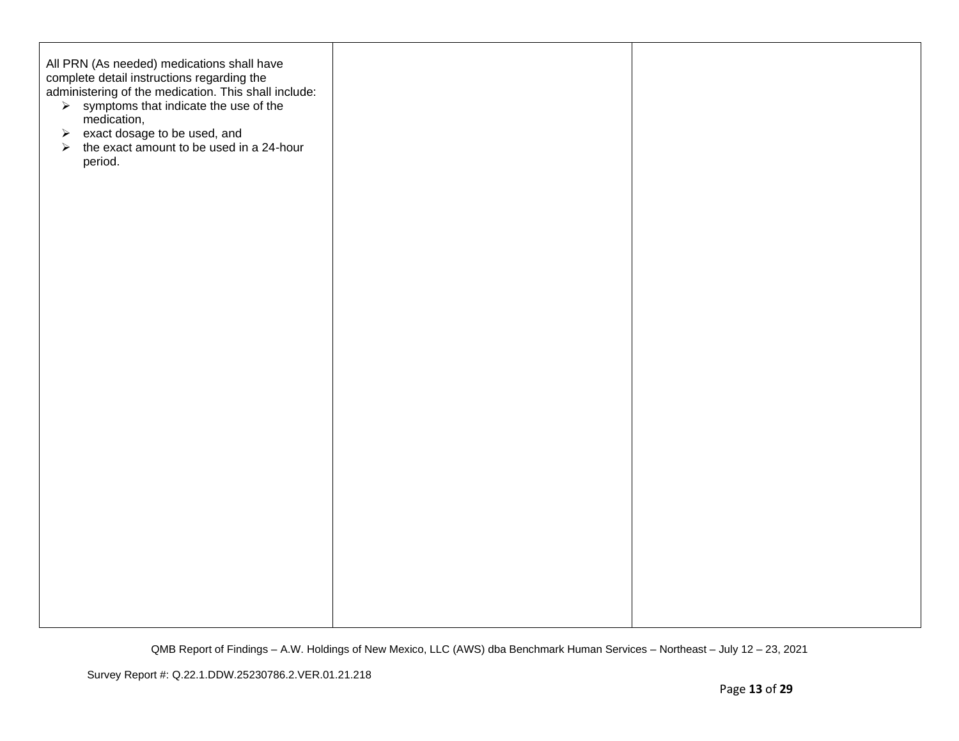| All PRN (As needed) medications shall have<br>complete detail instructions regarding the<br>administering of the medication. This shall include:<br>> symptoms that indicate the use of the<br>medication,<br>→ exact dosage to be used, and<br>→ the exact amount to be used in a 24-hour<br>period. |  |
|-------------------------------------------------------------------------------------------------------------------------------------------------------------------------------------------------------------------------------------------------------------------------------------------------------|--|
|                                                                                                                                                                                                                                                                                                       |  |
|                                                                                                                                                                                                                                                                                                       |  |
|                                                                                                                                                                                                                                                                                                       |  |
|                                                                                                                                                                                                                                                                                                       |  |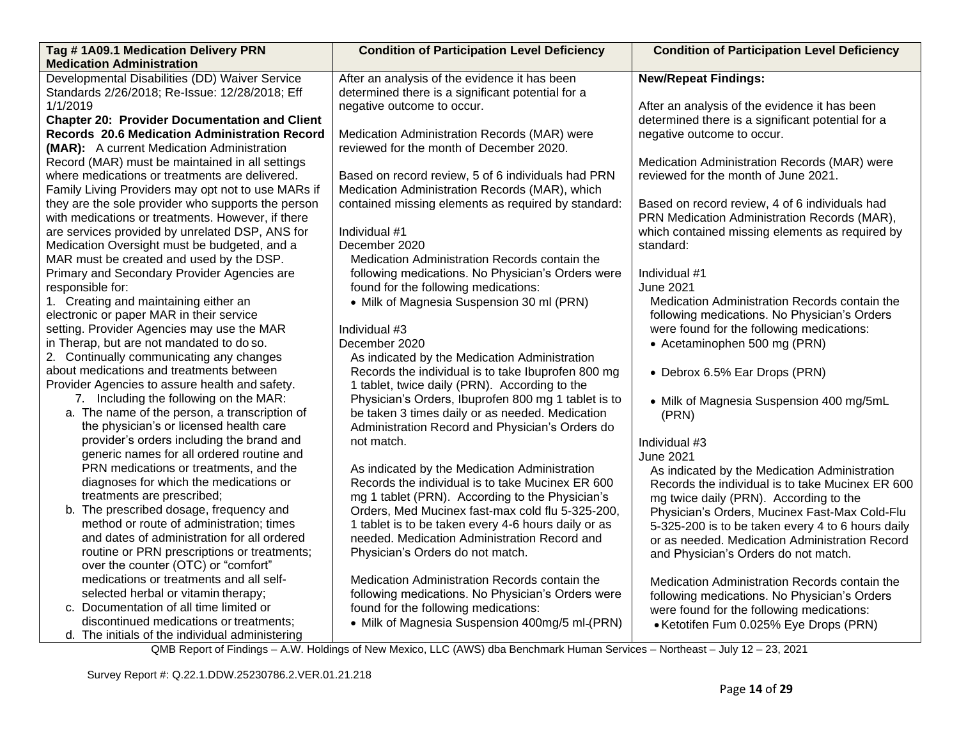| Tag #1A09.1 Medication Delivery PRN                  | <b>Condition of Participation Level Deficiency</b>  | <b>Condition of Participation Level Deficiency</b> |
|------------------------------------------------------|-----------------------------------------------------|----------------------------------------------------|
| <b>Medication Administration</b>                     |                                                     |                                                    |
| Developmental Disabilities (DD) Waiver Service       | After an analysis of the evidence it has been       | <b>New/Repeat Findings:</b>                        |
| Standards 2/26/2018; Re-Issue: 12/28/2018; Eff       | determined there is a significant potential for a   |                                                    |
| 1/1/2019                                             | negative outcome to occur.                          | After an analysis of the evidence it has been      |
| <b>Chapter 20: Provider Documentation and Client</b> |                                                     | determined there is a significant potential for a  |
| <b>Records 20.6 Medication Administration Record</b> | Medication Administration Records (MAR) were        | negative outcome to occur.                         |
| (MAR): A current Medication Administration           | reviewed for the month of December 2020.            |                                                    |
| Record (MAR) must be maintained in all settings      |                                                     | Medication Administration Records (MAR) were       |
| where medications or treatments are delivered.       | Based on record review, 5 of 6 individuals had PRN  | reviewed for the month of June 2021.               |
| Family Living Providers may opt not to use MARs if   | Medication Administration Records (MAR), which      |                                                    |
| they are the sole provider who supports the person   | contained missing elements as required by standard: | Based on record review, 4 of 6 individuals had     |
| with medications or treatments. However, if there    |                                                     | PRN Medication Administration Records (MAR),       |
| are services provided by unrelated DSP, ANS for      | Individual #1                                       | which contained missing elements as required by    |
| Medication Oversight must be budgeted, and a         | December 2020                                       | standard:                                          |
| MAR must be created and used by the DSP.             | Medication Administration Records contain the       |                                                    |
| Primary and Secondary Provider Agencies are          | following medications. No Physician's Orders were   | Individual #1                                      |
| responsible for:                                     | found for the following medications:                | <b>June 2021</b>                                   |
| 1. Creating and maintaining either an                | • Milk of Magnesia Suspension 30 ml (PRN)           | Medication Administration Records contain the      |
| electronic or paper MAR in their service             |                                                     | following medications. No Physician's Orders       |
| setting. Provider Agencies may use the MAR           | Individual #3                                       | were found for the following medications:          |
| in Therap, but are not mandated to do so.            | December 2020                                       | • Acetaminophen 500 mg (PRN)                       |
| 2. Continually communicating any changes             | As indicated by the Medication Administration       |                                                    |
| about medications and treatments between             | Records the individual is to take Ibuprofen 800 mg  | • Debrox 6.5% Ear Drops (PRN)                      |
| Provider Agencies to assure health and safety.       | 1 tablet, twice daily (PRN). According to the       |                                                    |
| 7. Including the following on the MAR:               | Physician's Orders, Ibuprofen 800 mg 1 tablet is to | • Milk of Magnesia Suspension 400 mg/5mL           |
| a. The name of the person, a transcription of        | be taken 3 times daily or as needed. Medication     | (PRN)                                              |
| the physician's or licensed health care              | Administration Record and Physician's Orders do     |                                                    |
| provider's orders including the brand and            | not match.                                          | Individual #3                                      |
| generic names for all ordered routine and            |                                                     | <b>June 2021</b>                                   |
| PRN medications or treatments, and the               | As indicated by the Medication Administration       | As indicated by the Medication Administration      |
| diagnoses for which the medications or               | Records the individual is to take Mucinex ER 600    | Records the individual is to take Mucinex ER 600   |
| treatments are prescribed;                           | mg 1 tablet (PRN). According to the Physician's     | mg twice daily (PRN). According to the             |
| b. The prescribed dosage, frequency and              | Orders, Med Mucinex fast-max cold flu 5-325-200,    | Physician's Orders, Mucinex Fast-Max Cold-Flu      |
| method or route of administration; times             | 1 tablet is to be taken every 4-6 hours daily or as | 5-325-200 is to be taken every 4 to 6 hours daily  |
| and dates of administration for all ordered          | needed. Medication Administration Record and        | or as needed. Medication Administration Record     |
| routine or PRN prescriptions or treatments;          | Physician's Orders do not match.                    | and Physician's Orders do not match.               |
| over the counter (OTC) or "comfort"                  |                                                     |                                                    |
| medications or treatments and all self-              | Medication Administration Records contain the       | Medication Administration Records contain the      |
| selected herbal or vitamin therapy;                  | following medications. No Physician's Orders were   | following medications. No Physician's Orders       |
| c. Documentation of all time limited or              | found for the following medications:                | were found for the following medications:          |
| discontinued medications or treatments;              | • Milk of Magnesia Suspension 400mg/5 ml-(PRN)      | • Ketotifen Fum 0.025% Eye Drops (PRN)             |
| d. The initials of the individual administering      |                                                     |                                                    |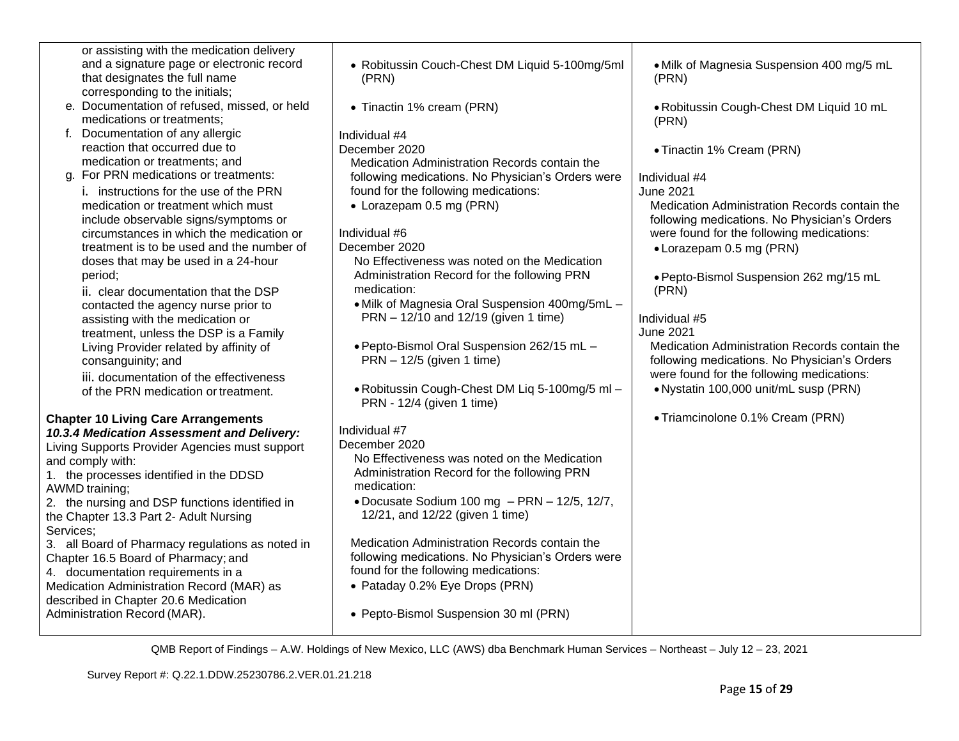| or assisting with the medication delivery                                  |                                                                             |                                                   |
|----------------------------------------------------------------------------|-----------------------------------------------------------------------------|---------------------------------------------------|
| and a signature page or electronic record                                  | • Robitussin Couch-Chest DM Liquid 5-100mg/5ml                              | . Milk of Magnesia Suspension 400 mg/5 mL         |
| that designates the full name                                              | (PRN)                                                                       | (PRN)                                             |
| corresponding to the initials;                                             |                                                                             |                                                   |
| e. Documentation of refused, missed, or held<br>medications or treatments; | • Tinactin 1% cream (PRN)                                                   | . Robitussin Cough-Chest DM Liquid 10 mL<br>(PRN) |
| f. Documentation of any allergic                                           | Individual #4                                                               |                                                   |
| reaction that occurred due to                                              | December 2020                                                               | • Tinactin 1% Cream (PRN)                         |
| medication or treatments; and                                              | Medication Administration Records contain the                               |                                                   |
| g. For PRN medications or treatments:                                      | following medications. No Physician's Orders were                           | Individual #4                                     |
| i. instructions for the use of the PRN                                     | found for the following medications:                                        | June 2021                                         |
| medication or treatment which must                                         | • Lorazepam 0.5 mg (PRN)                                                    | Medication Administration Records contain the     |
| include observable signs/symptoms or                                       |                                                                             | following medications. No Physician's Orders      |
| circumstances in which the medication or                                   | Individual #6                                                               | were found for the following medications:         |
| treatment is to be used and the number of                                  | December 2020                                                               | • Lorazepam 0.5 mg (PRN)                          |
| doses that may be used in a 24-hour                                        | No Effectiveness was noted on the Medication                                |                                                   |
| period;                                                                    | Administration Record for the following PRN                                 | · Pepto-Bismol Suspension 262 mg/15 mL            |
| ii. clear documentation that the DSP                                       | medication:                                                                 | (PRN)                                             |
| contacted the agency nurse prior to                                        | • Milk of Magnesia Oral Suspension 400mg/5mL -                              |                                                   |
| assisting with the medication or                                           | PRN - 12/10 and 12/19 (given 1 time)                                        | Individual #5                                     |
| treatment, unless the DSP is a Family                                      |                                                                             | June 2021                                         |
| Living Provider related by affinity of                                     | . Pepto-Bismol Oral Suspension 262/15 mL -                                  | Medication Administration Records contain the     |
| consanguinity; and                                                         | $PRN - 12/5$ (given 1 time)                                                 | following medications. No Physician's Orders      |
| iii. documentation of the effectiveness                                    |                                                                             | were found for the following medications:         |
| of the PRN medication or treatment.                                        | . Robitussin Cough-Chest DM Liq 5-100mg/5 ml -<br>PRN - 12/4 (given 1 time) | . Nystatin 100,000 unit/mL susp (PRN)             |
| <b>Chapter 10 Living Care Arrangements</b>                                 |                                                                             | • Triamcinolone 0.1% Cream (PRN)                  |
| 10.3.4 Medication Assessment and Delivery:                                 | Individual #7                                                               |                                                   |
| Living Supports Provider Agencies must support                             | December 2020                                                               |                                                   |
| and comply with:                                                           | No Effectiveness was noted on the Medication                                |                                                   |
| 1. the processes identified in the DDSD                                    | Administration Record for the following PRN                                 |                                                   |
| AWMD training;                                                             | medication:                                                                 |                                                   |
| 2. the nursing and DSP functions identified in                             | .Docusate Sodium 100 mg - PRN - 12/5, 12/7,                                 |                                                   |
| the Chapter 13.3 Part 2- Adult Nursing                                     | 12/21, and 12/22 (given 1 time)                                             |                                                   |
| Services:                                                                  |                                                                             |                                                   |
| 3. all Board of Pharmacy regulations as noted in                           | Medication Administration Records contain the                               |                                                   |
| Chapter 16.5 Board of Pharmacy; and                                        | following medications. No Physician's Orders were                           |                                                   |
| 4. documentation requirements in a                                         | found for the following medications:                                        |                                                   |
| Medication Administration Record (MAR) as                                  | • Pataday 0.2% Eye Drops (PRN)                                              |                                                   |
| described in Chapter 20.6 Medication                                       |                                                                             |                                                   |
| Administration Record (MAR).                                               | • Pepto-Bismol Suspension 30 ml (PRN)                                       |                                                   |
|                                                                            |                                                                             |                                                   |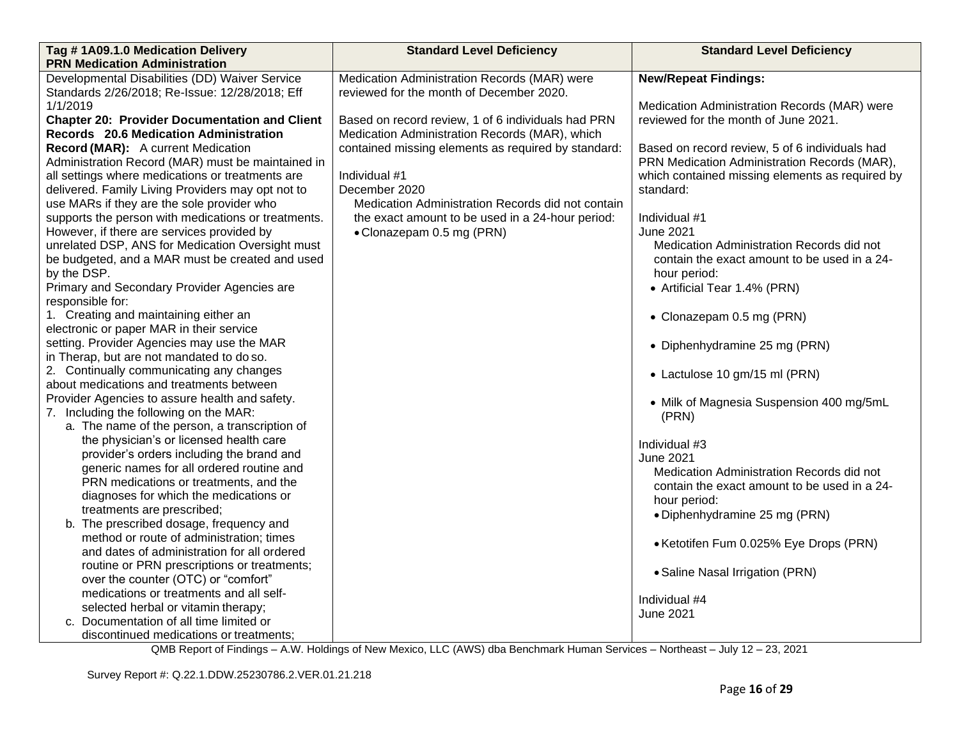| Tag #1A09.1.0 Medication Delivery                    | <b>Standard Level Deficiency</b>                    | <b>Standard Level Deficiency</b>                |  |
|------------------------------------------------------|-----------------------------------------------------|-------------------------------------------------|--|
| <b>PRN Medication Administration</b>                 |                                                     |                                                 |  |
| Developmental Disabilities (DD) Waiver Service       | Medication Administration Records (MAR) were        | <b>New/Repeat Findings:</b>                     |  |
| Standards 2/26/2018; Re-Issue: 12/28/2018; Eff       | reviewed for the month of December 2020.            |                                                 |  |
| 1/1/2019                                             |                                                     | Medication Administration Records (MAR) were    |  |
| <b>Chapter 20: Provider Documentation and Client</b> | Based on record review, 1 of 6 individuals had PRN  | reviewed for the month of June 2021.            |  |
| Records 20.6 Medication Administration               | Medication Administration Records (MAR), which      |                                                 |  |
| Record (MAR): A current Medication                   | contained missing elements as required by standard: | Based on record review, 5 of 6 individuals had  |  |
| Administration Record (MAR) must be maintained in    |                                                     | PRN Medication Administration Records (MAR),    |  |
| all settings where medications or treatments are     | Individual #1                                       | which contained missing elements as required by |  |
| delivered. Family Living Providers may opt not to    | December 2020                                       | standard:                                       |  |
| use MARs if they are the sole provider who           | Medication Administration Records did not contain   |                                                 |  |
| supports the person with medications or treatments.  | the exact amount to be used in a 24-hour period:    | Individual #1                                   |  |
| However, if there are services provided by           | • Clonazepam 0.5 mg (PRN)                           | <b>June 2021</b>                                |  |
| unrelated DSP, ANS for Medication Oversight must     |                                                     | Medication Administration Records did not       |  |
| be budgeted, and a MAR must be created and used      |                                                     | contain the exact amount to be used in a 24-    |  |
| by the DSP.                                          |                                                     | hour period:                                    |  |
| Primary and Secondary Provider Agencies are          |                                                     | • Artificial Tear 1.4% (PRN)                    |  |
| responsible for:                                     |                                                     |                                                 |  |
| 1. Creating and maintaining either an                |                                                     | • Clonazepam 0.5 mg (PRN)                       |  |
| electronic or paper MAR in their service             |                                                     |                                                 |  |
| setting. Provider Agencies may use the MAR           |                                                     | • Diphenhydramine 25 mg (PRN)                   |  |
| in Therap, but are not mandated to do so.            |                                                     |                                                 |  |
| 2. Continually communicating any changes             |                                                     | • Lactulose 10 gm/15 ml (PRN)                   |  |
| about medications and treatments between             |                                                     |                                                 |  |
| Provider Agencies to assure health and safety.       |                                                     | • Milk of Magnesia Suspension 400 mg/5mL        |  |
| 7. Including the following on the MAR:               |                                                     | (PRN)                                           |  |
| a. The name of the person, a transcription of        |                                                     |                                                 |  |
| the physician's or licensed health care              |                                                     | Individual #3                                   |  |
| provider's orders including the brand and            |                                                     | <b>June 2021</b>                                |  |
| generic names for all ordered routine and            |                                                     | Medication Administration Records did not       |  |
| PRN medications or treatments, and the               |                                                     | contain the exact amount to be used in a 24-    |  |
| diagnoses for which the medications or               |                                                     | hour period:                                    |  |
| treatments are prescribed;                           |                                                     | • Diphenhydramine 25 mg (PRN)                   |  |
| b. The prescribed dosage, frequency and              |                                                     |                                                 |  |
| method or route of administration; times             |                                                     | • Ketotifen Fum 0.025% Eye Drops (PRN)          |  |
| and dates of administration for all ordered          |                                                     |                                                 |  |
| routine or PRN prescriptions or treatments;          |                                                     | • Saline Nasal Irrigation (PRN)                 |  |
| over the counter (OTC) or "comfort"                  |                                                     |                                                 |  |
| medications or treatments and all self-              |                                                     | Individual #4                                   |  |
| selected herbal or vitamin therapy;                  |                                                     | <b>June 2021</b>                                |  |
| c. Documentation of all time limited or              |                                                     |                                                 |  |
| discontinued medications or treatments;              |                                                     |                                                 |  |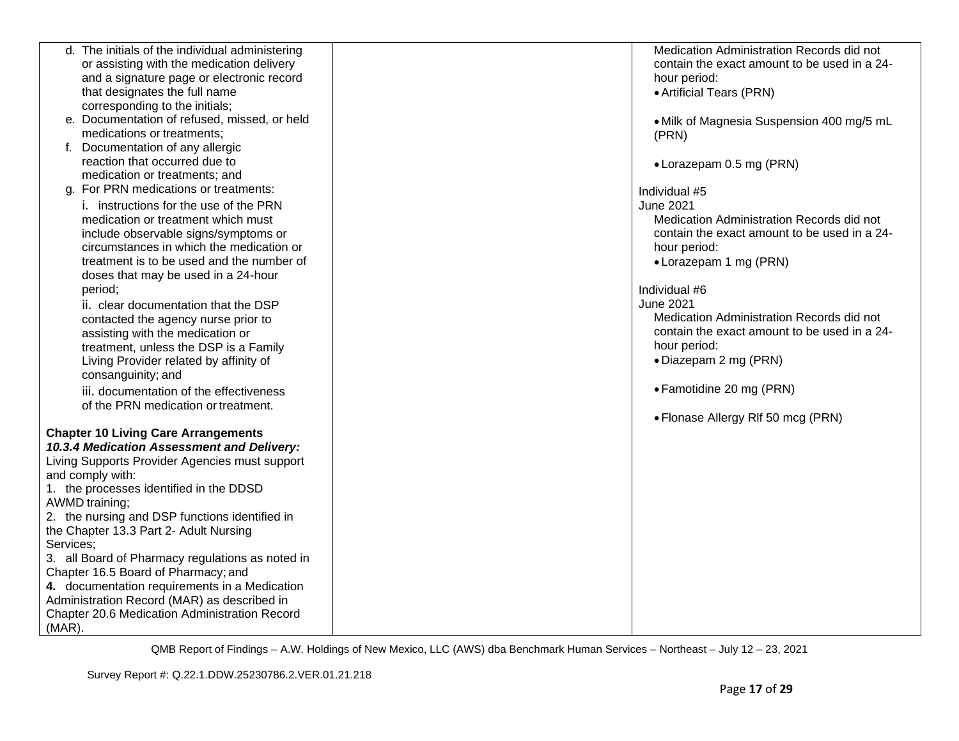|           | d. The initials of the individual administering                                          | Medication Administration Records did not    |
|-----------|------------------------------------------------------------------------------------------|----------------------------------------------|
|           | or assisting with the medication delivery                                                | contain the exact amount to be used in a 24- |
|           | and a signature page or electronic record                                                | hour period:                                 |
|           | that designates the full name                                                            | • Artificial Tears (PRN)                     |
|           | corresponding to the initials;                                                           |                                              |
|           | e. Documentation of refused, missed, or held                                             | • Milk of Magnesia Suspension 400 mg/5 mL    |
|           | medications or treatments;                                                               | (PRN)                                        |
|           | f. Documentation of any allergic                                                         |                                              |
|           | reaction that occurred due to                                                            |                                              |
|           | medication or treatments; and                                                            | • Lorazepam 0.5 mg (PRN)                     |
|           | g. For PRN medications or treatments:                                                    |                                              |
|           |                                                                                          | Individual #5                                |
|           | i. instructions for the use of the PRN                                                   | <b>June 2021</b>                             |
|           | medication or treatment which must                                                       | Medication Administration Records did not    |
|           | include observable signs/symptoms or                                                     | contain the exact amount to be used in a 24- |
|           | circumstances in which the medication or                                                 | hour period:                                 |
|           | treatment is to be used and the number of                                                | • Lorazepam 1 mg (PRN)                       |
|           | doses that may be used in a 24-hour                                                      |                                              |
|           | period;                                                                                  | Individual #6                                |
|           | ii. clear documentation that the DSP                                                     | <b>June 2021</b>                             |
|           | contacted the agency nurse prior to                                                      | Medication Administration Records did not    |
|           | assisting with the medication or                                                         | contain the exact amount to be used in a 24- |
|           | treatment, unless the DSP is a Family                                                    | hour period:                                 |
|           | Living Provider related by affinity of                                                   | • Diazepam 2 mg (PRN)                        |
|           | consanguinity; and                                                                       |                                              |
|           | iii. documentation of the effectiveness                                                  | • Famotidine 20 mg (PRN)                     |
|           | of the PRN medication or treatment.                                                      |                                              |
|           |                                                                                          | • Flonase Allergy RIf 50 mcg (PRN)           |
|           |                                                                                          |                                              |
|           | <b>Chapter 10 Living Care Arrangements</b><br>10.3.4 Medication Assessment and Delivery: |                                              |
|           |                                                                                          |                                              |
|           | Living Supports Provider Agencies must support                                           |                                              |
|           | and comply with:                                                                         |                                              |
|           | 1. the processes identified in the DDSD                                                  |                                              |
|           | AWMD training;                                                                           |                                              |
|           | 2. the nursing and DSP functions identified in                                           |                                              |
|           | the Chapter 13.3 Part 2- Adult Nursing                                                   |                                              |
| Services; |                                                                                          |                                              |
|           | 3. all Board of Pharmacy regulations as noted in                                         |                                              |
|           | Chapter 16.5 Board of Pharmacy; and                                                      |                                              |
|           | 4. documentation requirements in a Medication                                            |                                              |
|           | Administration Record (MAR) as described in                                              |                                              |
|           | Chapter 20.6 Medication Administration Record                                            |                                              |
| $(MAR)$ . |                                                                                          |                                              |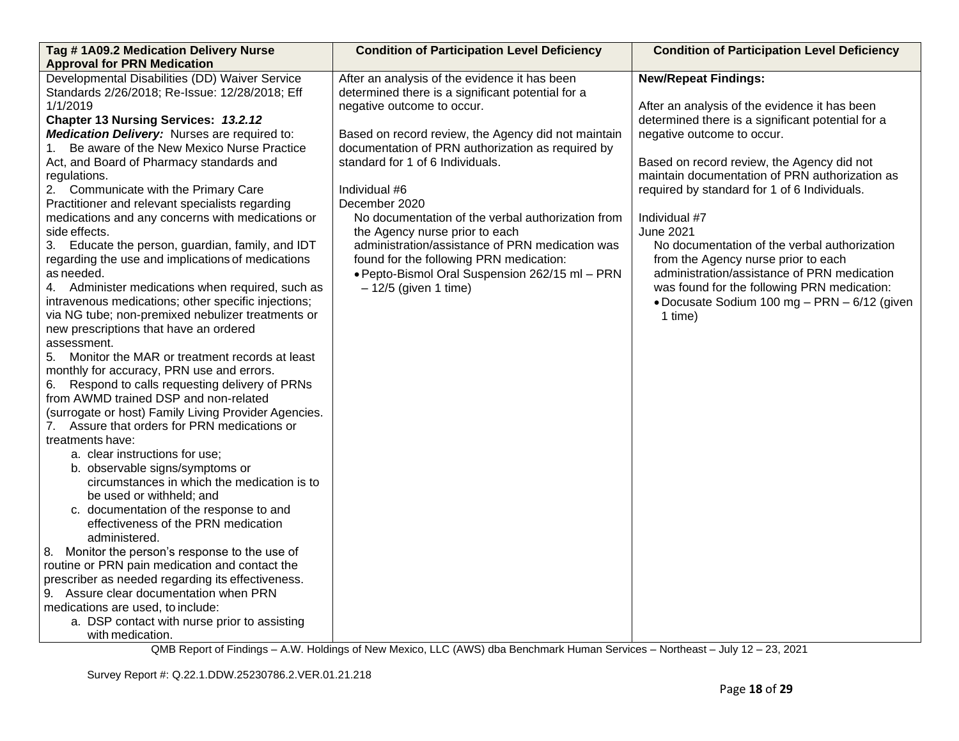| Tag # 1A09.2 Medication Delivery Nurse<br><b>Approval for PRN Medication</b>                    | <b>Condition of Participation Level Deficiency</b>  | <b>Condition of Participation Level Deficiency</b> |
|-------------------------------------------------------------------------------------------------|-----------------------------------------------------|----------------------------------------------------|
| Developmental Disabilities (DD) Waiver Service                                                  | After an analysis of the evidence it has been       | <b>New/Repeat Findings:</b>                        |
| Standards 2/26/2018; Re-Issue: 12/28/2018; Eff                                                  | determined there is a significant potential for a   |                                                    |
| 1/1/2019                                                                                        | negative outcome to occur.                          | After an analysis of the evidence it has been      |
| Chapter 13 Nursing Services: 13.2.12                                                            |                                                     | determined there is a significant potential for a  |
| <b>Medication Delivery:</b> Nurses are required to:                                             | Based on record review, the Agency did not maintain | negative outcome to occur.                         |
| 1. Be aware of the New Mexico Nurse Practice                                                    | documentation of PRN authorization as required by   |                                                    |
| Act, and Board of Pharmacy standards and                                                        | standard for 1 of 6 Individuals.                    | Based on record review, the Agency did not         |
| regulations.                                                                                    |                                                     | maintain documentation of PRN authorization as     |
| 2. Communicate with the Primary Care                                                            | Individual #6                                       | required by standard for 1 of 6 Individuals.       |
| Practitioner and relevant specialists regarding                                                 | December 2020                                       |                                                    |
| medications and any concerns with medications or                                                | No documentation of the verbal authorization from   | Individual #7                                      |
| side effects.                                                                                   | the Agency nurse prior to each                      | <b>June 2021</b>                                   |
| 3. Educate the person, guardian, family, and IDT                                                | administration/assistance of PRN medication was     | No documentation of the verbal authorization       |
| regarding the use and implications of medications                                               | found for the following PRN medication:             | from the Agency nurse prior to each                |
| as needed.                                                                                      | · Pepto-Bismol Oral Suspension 262/15 ml - PRN      | administration/assistance of PRN medication        |
| 4. Administer medications when required, such as                                                | $-12/5$ (given 1 time)                              | was found for the following PRN medication:        |
| intravenous medications; other specific injections;                                             |                                                     | • Docusate Sodium 100 mg - PRN - 6/12 (given       |
| via NG tube; non-premixed nebulizer treatments or                                               |                                                     | 1 time)                                            |
| new prescriptions that have an ordered                                                          |                                                     |                                                    |
| assessment.                                                                                     |                                                     |                                                    |
| 5. Monitor the MAR or treatment records at least                                                |                                                     |                                                    |
| monthly for accuracy, PRN use and errors.<br>Respond to calls requesting delivery of PRNs<br>6. |                                                     |                                                    |
| from AWMD trained DSP and non-related                                                           |                                                     |                                                    |
| (surrogate or host) Family Living Provider Agencies.                                            |                                                     |                                                    |
| 7. Assure that orders for PRN medications or                                                    |                                                     |                                                    |
| treatments have:                                                                                |                                                     |                                                    |
| a. clear instructions for use;                                                                  |                                                     |                                                    |
| b. observable signs/symptoms or                                                                 |                                                     |                                                    |
| circumstances in which the medication is to                                                     |                                                     |                                                    |
| be used or withheld; and                                                                        |                                                     |                                                    |
| c. documentation of the response to and                                                         |                                                     |                                                    |
| effectiveness of the PRN medication                                                             |                                                     |                                                    |
| administered.                                                                                   |                                                     |                                                    |
| 8. Monitor the person's response to the use of                                                  |                                                     |                                                    |
| routine or PRN pain medication and contact the                                                  |                                                     |                                                    |
| prescriber as needed regarding its effectiveness.                                               |                                                     |                                                    |
| 9. Assure clear documentation when PRN                                                          |                                                     |                                                    |
| medications are used, to include:                                                               |                                                     |                                                    |
| a. DSP contact with nurse prior to assisting                                                    |                                                     |                                                    |
| with medication.                                                                                |                                                     |                                                    |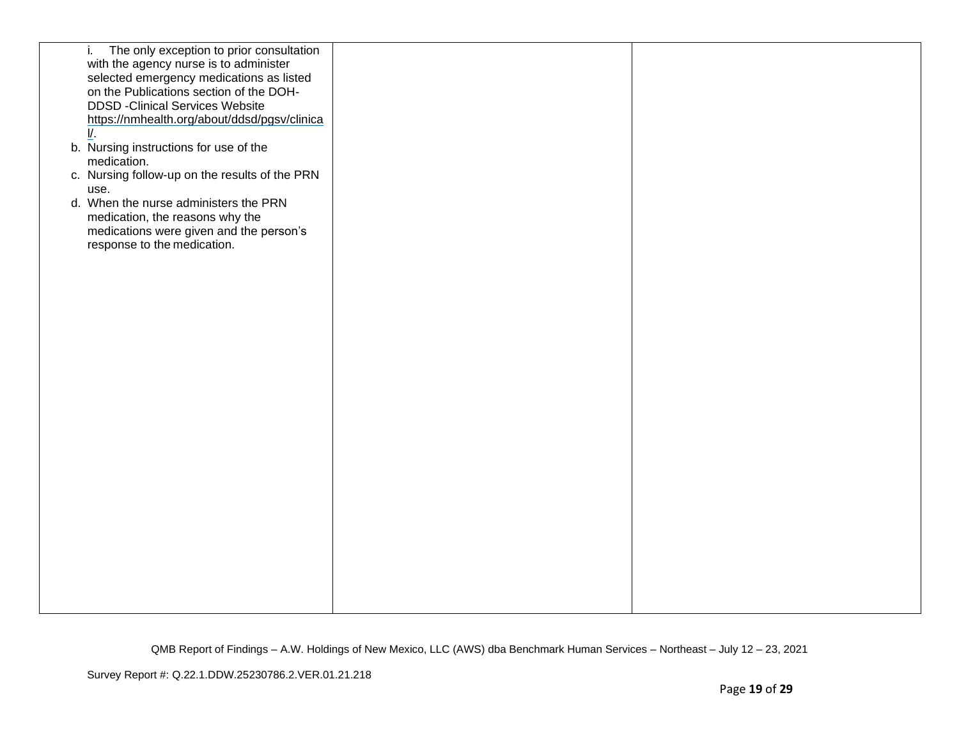| The only exception to prior consultation<br>i. |  |
|------------------------------------------------|--|
| with the agency nurse is to administer         |  |
| selected emergency medications as listed       |  |
| on the Publications section of the DOH-        |  |
| <b>DDSD -Clinical Services Website</b>         |  |
| https://nmhealth.org/about/ddsd/pgsv/clinica   |  |
| $\mathsf{I}/\mathsf{I}$                        |  |
| b. Nursing instructions for use of the         |  |
| medication.                                    |  |
| c. Nursing follow-up on the results of the PRN |  |
| use.                                           |  |
| d. When the nurse administers the PRN          |  |
| medication, the reasons why the                |  |
| medications were given and the person's        |  |
| response to the medication.                    |  |
|                                                |  |
|                                                |  |
|                                                |  |
|                                                |  |
|                                                |  |
|                                                |  |
|                                                |  |
|                                                |  |
|                                                |  |
|                                                |  |
|                                                |  |
|                                                |  |
|                                                |  |
|                                                |  |
|                                                |  |
|                                                |  |
|                                                |  |
|                                                |  |
|                                                |  |
|                                                |  |
|                                                |  |
|                                                |  |
|                                                |  |
|                                                |  |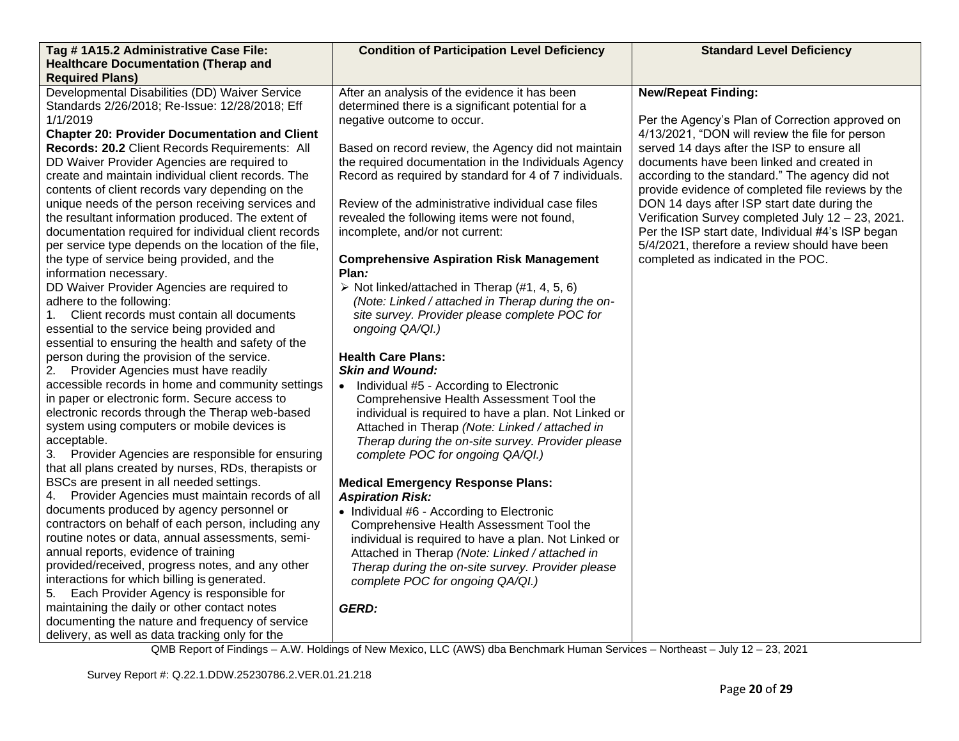| Tag #1A15.2 Administrative Case File:                                                                  | <b>Condition of Participation Level Deficiency</b>                                                     | <b>Standard Level Deficiency</b>                                                                 |
|--------------------------------------------------------------------------------------------------------|--------------------------------------------------------------------------------------------------------|--------------------------------------------------------------------------------------------------|
| <b>Healthcare Documentation (Therap and</b>                                                            |                                                                                                        |                                                                                                  |
| <b>Required Plans)</b>                                                                                 |                                                                                                        |                                                                                                  |
| Developmental Disabilities (DD) Waiver Service                                                         | After an analysis of the evidence it has been                                                          | <b>New/Repeat Finding:</b>                                                                       |
| Standards 2/26/2018; Re-Issue: 12/28/2018; Eff                                                         | determined there is a significant potential for a                                                      |                                                                                                  |
| 1/1/2019                                                                                               | negative outcome to occur.                                                                             | Per the Agency's Plan of Correction approved on                                                  |
| <b>Chapter 20: Provider Documentation and Client</b>                                                   |                                                                                                        | 4/13/2021, "DON will review the file for person                                                  |
| Records: 20.2 Client Records Requirements: All                                                         | Based on record review, the Agency did not maintain                                                    | served 14 days after the ISP to ensure all                                                       |
| DD Waiver Provider Agencies are required to                                                            | the required documentation in the Individuals Agency                                                   | documents have been linked and created in                                                        |
| create and maintain individual client records. The                                                     | Record as required by standard for 4 of 7 individuals.                                                 | according to the standard." The agency did not                                                   |
| contents of client records vary depending on the                                                       | Review of the administrative individual case files                                                     | provide evidence of completed file reviews by the                                                |
| unique needs of the person receiving services and<br>the resultant information produced. The extent of | revealed the following items were not found,                                                           | DON 14 days after ISP start date during the<br>Verification Survey completed July 12 - 23, 2021. |
| documentation required for individual client records                                                   | incomplete, and/or not current:                                                                        | Per the ISP start date, Individual #4's ISP began                                                |
| per service type depends on the location of the file,                                                  |                                                                                                        | 5/4/2021, therefore a review should have been                                                    |
| the type of service being provided, and the                                                            | <b>Comprehensive Aspiration Risk Management</b>                                                        | completed as indicated in the POC.                                                               |
| information necessary.                                                                                 | Plan:                                                                                                  |                                                                                                  |
| DD Waiver Provider Agencies are required to                                                            | $\triangleright$ Not linked/attached in Therap (#1, 4, 5, 6)                                           |                                                                                                  |
| adhere to the following:                                                                               | (Note: Linked / attached in Therap during the on-                                                      |                                                                                                  |
| Client records must contain all documents<br>1.                                                        | site survey. Provider please complete POC for                                                          |                                                                                                  |
| essential to the service being provided and                                                            | ongoing QA/QI.)                                                                                        |                                                                                                  |
| essential to ensuring the health and safety of the                                                     |                                                                                                        |                                                                                                  |
| person during the provision of the service.                                                            | <b>Health Care Plans:</b>                                                                              |                                                                                                  |
| 2. Provider Agencies must have readily                                                                 | <b>Skin and Wound:</b>                                                                                 |                                                                                                  |
| accessible records in home and community settings                                                      | • Individual #5 - According to Electronic                                                              |                                                                                                  |
| in paper or electronic form. Secure access to                                                          | Comprehensive Health Assessment Tool the                                                               |                                                                                                  |
| electronic records through the Therap web-based                                                        | individual is required to have a plan. Not Linked or                                                   |                                                                                                  |
| system using computers or mobile devices is                                                            | Attached in Therap (Note: Linked / attached in                                                         |                                                                                                  |
| acceptable.                                                                                            | Therap during the on-site survey. Provider please                                                      |                                                                                                  |
| 3. Provider Agencies are responsible for ensuring                                                      | complete POC for ongoing QA/QI.)                                                                       |                                                                                                  |
| that all plans created by nurses, RDs, therapists or                                                   |                                                                                                        |                                                                                                  |
| BSCs are present in all needed settings.                                                               | <b>Medical Emergency Response Plans:</b>                                                               |                                                                                                  |
| 4. Provider Agencies must maintain records of all                                                      | <b>Aspiration Risk:</b>                                                                                |                                                                                                  |
| documents produced by agency personnel or<br>contractors on behalf of each person, including any       | • Individual #6 - According to Electronic                                                              |                                                                                                  |
| routine notes or data, annual assessments, semi-                                                       | Comprehensive Health Assessment Tool the                                                               |                                                                                                  |
| annual reports, evidence of training                                                                   | individual is required to have a plan. Not Linked or<br>Attached in Therap (Note: Linked / attached in |                                                                                                  |
| provided/received, progress notes, and any other                                                       | Therap during the on-site survey. Provider please                                                      |                                                                                                  |
| interactions for which billing is generated.                                                           | complete POC for ongoing QA/QI.)                                                                       |                                                                                                  |
| Each Provider Agency is responsible for<br>5.                                                          |                                                                                                        |                                                                                                  |
| maintaining the daily or other contact notes                                                           | <b>GERD:</b>                                                                                           |                                                                                                  |
| documenting the nature and frequency of service                                                        |                                                                                                        |                                                                                                  |
| delivery, as well as data tracking only for the                                                        |                                                                                                        |                                                                                                  |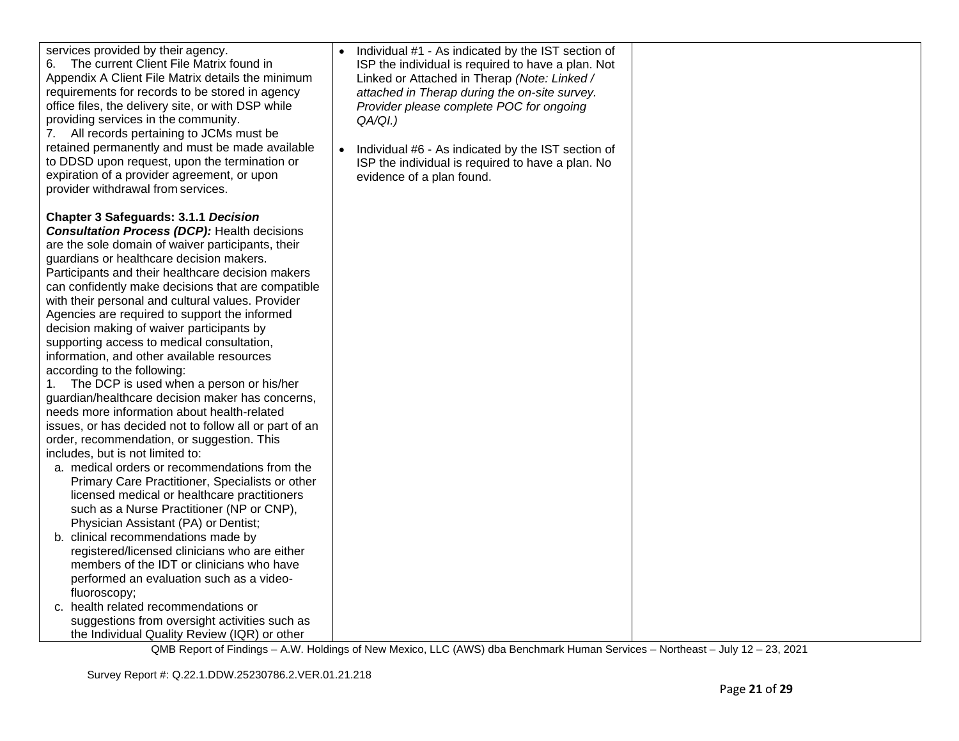| services provided by their agency.<br>6. The current Client File Matrix found in<br>Appendix A Client File Matrix details the minimum<br>requirements for records to be stored in agency<br>office files, the delivery site, or with DSP while<br>providing services in the community.<br>7. All records pertaining to JCMs must be<br>retained permanently and must be made available<br>to DDSD upon request, upon the termination or<br>expiration of a provider agreement, or upon<br>provider withdrawal from services.                                                                                                                                                                                                                                                                                                                                                                                                                                                                                                                                                                                                                                                                                                                                                                                                                                                                                                                                                     | Individual #1 - As indicated by the IST section of<br>ISP the individual is required to have a plan. Not<br>Linked or Attached in Therap (Note: Linked /<br>attached in Therap during the on-site survey.<br>Provider please complete POC for ongoing<br>$QA/QI.$ )<br>Individual #6 - As indicated by the IST section of<br>ISP the individual is required to have a plan. No<br>evidence of a plan found. |  |
|----------------------------------------------------------------------------------------------------------------------------------------------------------------------------------------------------------------------------------------------------------------------------------------------------------------------------------------------------------------------------------------------------------------------------------------------------------------------------------------------------------------------------------------------------------------------------------------------------------------------------------------------------------------------------------------------------------------------------------------------------------------------------------------------------------------------------------------------------------------------------------------------------------------------------------------------------------------------------------------------------------------------------------------------------------------------------------------------------------------------------------------------------------------------------------------------------------------------------------------------------------------------------------------------------------------------------------------------------------------------------------------------------------------------------------------------------------------------------------|-------------------------------------------------------------------------------------------------------------------------------------------------------------------------------------------------------------------------------------------------------------------------------------------------------------------------------------------------------------------------------------------------------------|--|
| <b>Chapter 3 Safeguards: 3.1.1 Decision</b><br><b>Consultation Process (DCP): Health decisions</b><br>are the sole domain of waiver participants, their<br>guardians or healthcare decision makers.<br>Participants and their healthcare decision makers<br>can confidently make decisions that are compatible<br>with their personal and cultural values. Provider<br>Agencies are required to support the informed<br>decision making of waiver participants by<br>supporting access to medical consultation,<br>information, and other available resources<br>according to the following:<br>The DCP is used when a person or his/her<br>1.<br>guardian/healthcare decision maker has concerns,<br>needs more information about health-related<br>issues, or has decided not to follow all or part of an<br>order, recommendation, or suggestion. This<br>includes, but is not limited to:<br>a. medical orders or recommendations from the<br>Primary Care Practitioner, Specialists or other<br>licensed medical or healthcare practitioners<br>such as a Nurse Practitioner (NP or CNP),<br>Physician Assistant (PA) or Dentist;<br>b. clinical recommendations made by<br>registered/licensed clinicians who are either<br>members of the IDT or clinicians who have<br>performed an evaluation such as a video-<br>fluoroscopy;<br>c. health related recommendations or<br>suggestions from oversight activities such as<br>the Individual Quality Review (IQR) or other |                                                                                                                                                                                                                                                                                                                                                                                                             |  |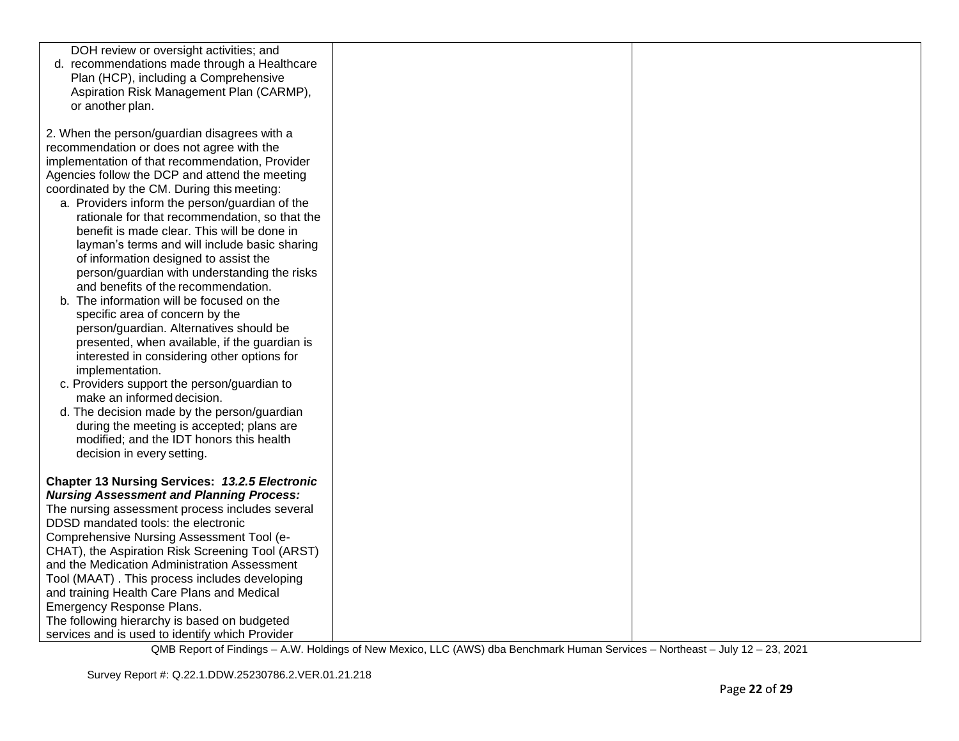| DOH review or oversight activities; and<br>d. recommendations made through a Healthcare<br>Plan (HCP), including a Comprehensive<br>Aspiration Risk Management Plan (CARMP),<br>or another plan.                                                                                                                                                                                                                                                                                                                                                                                  |  |
|-----------------------------------------------------------------------------------------------------------------------------------------------------------------------------------------------------------------------------------------------------------------------------------------------------------------------------------------------------------------------------------------------------------------------------------------------------------------------------------------------------------------------------------------------------------------------------------|--|
| 2. When the person/guardian disagrees with a<br>recommendation or does not agree with the<br>implementation of that recommendation, Provider<br>Agencies follow the DCP and attend the meeting<br>coordinated by the CM. During this meeting:<br>a. Providers inform the person/guardian of the<br>rationale for that recommendation, so that the<br>benefit is made clear. This will be done in<br>layman's terms and will include basic sharing<br>of information designed to assist the<br>person/guardian with understanding the risks<br>and benefits of the recommendation. |  |
| b. The information will be focused on the<br>specific area of concern by the<br>person/guardian. Alternatives should be<br>presented, when available, if the guardian is<br>interested in considering other options for<br>implementation.<br>c. Providers support the person/guardian to<br>make an informed decision.<br>d. The decision made by the person/guardian<br>during the meeting is accepted; plans are<br>modified; and the IDT honors this health<br>decision in every setting.                                                                                     |  |
| <b>Chapter 13 Nursing Services: 13.2.5 Electronic</b><br><b>Nursing Assessment and Planning Process:</b>                                                                                                                                                                                                                                                                                                                                                                                                                                                                          |  |
| The nursing assessment process includes several                                                                                                                                                                                                                                                                                                                                                                                                                                                                                                                                   |  |
| DDSD mandated tools: the electronic<br>Comprehensive Nursing Assessment Tool (e-                                                                                                                                                                                                                                                                                                                                                                                                                                                                                                  |  |
| CHAT), the Aspiration Risk Screening Tool (ARST)                                                                                                                                                                                                                                                                                                                                                                                                                                                                                                                                  |  |
| and the Medication Administration Assessment                                                                                                                                                                                                                                                                                                                                                                                                                                                                                                                                      |  |
| Tool (MAAT). This process includes developing                                                                                                                                                                                                                                                                                                                                                                                                                                                                                                                                     |  |
| and training Health Care Plans and Medical                                                                                                                                                                                                                                                                                                                                                                                                                                                                                                                                        |  |
| <b>Emergency Response Plans.</b>                                                                                                                                                                                                                                                                                                                                                                                                                                                                                                                                                  |  |
| The following hierarchy is based on budgeted                                                                                                                                                                                                                                                                                                                                                                                                                                                                                                                                      |  |
| services and is used to identify which Provider                                                                                                                                                                                                                                                                                                                                                                                                                                                                                                                                   |  |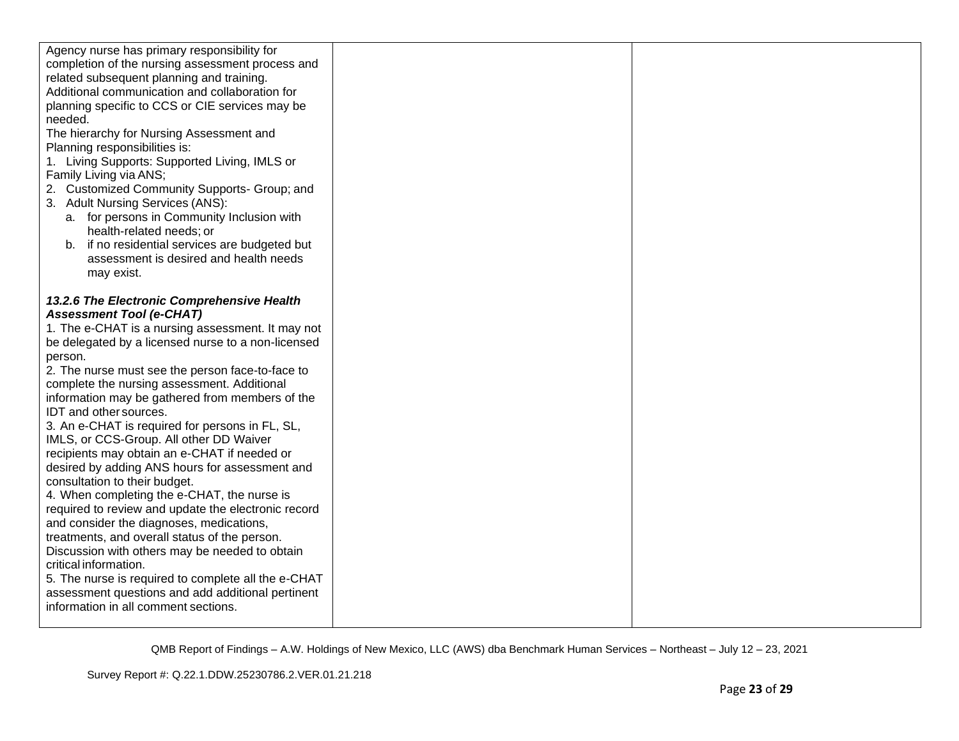| Agency nurse has primary responsibility for<br>completion of the nursing assessment process and<br>related subsequent planning and training.<br>Additional communication and collaboration for<br>planning specific to CCS or CIE services may be<br>needed.<br>The hierarchy for Nursing Assessment and<br>Planning responsibilities is:<br>1. Living Supports: Supported Living, IMLS or<br>Family Living via ANS;<br>2. Customized Community Supports- Group; and<br>3. Adult Nursing Services (ANS):<br>a. for persons in Community Inclusion with                                                                                                                                                                                                                                                                                                                                                                                                                                                                                                 |  |
|--------------------------------------------------------------------------------------------------------------------------------------------------------------------------------------------------------------------------------------------------------------------------------------------------------------------------------------------------------------------------------------------------------------------------------------------------------------------------------------------------------------------------------------------------------------------------------------------------------------------------------------------------------------------------------------------------------------------------------------------------------------------------------------------------------------------------------------------------------------------------------------------------------------------------------------------------------------------------------------------------------------------------------------------------------|--|
| b. if no residential services are budgeted but<br>assessment is desired and health needs<br>may exist.                                                                                                                                                                                                                                                                                                                                                                                                                                                                                                                                                                                                                                                                                                                                                                                                                                                                                                                                                 |  |
| 13.2.6 The Electronic Comprehensive Health<br><b>Assessment Tool (e-CHAT)</b><br>1. The e-CHAT is a nursing assessment. It may not<br>be delegated by a licensed nurse to a non-licensed<br>person.<br>2. The nurse must see the person face-to-face to<br>complete the nursing assessment. Additional<br>information may be gathered from members of the<br>IDT and other sources.<br>3. An e-CHAT is required for persons in FL, SL,<br>IMLS, or CCS-Group. All other DD Waiver<br>recipients may obtain an e-CHAT if needed or<br>desired by adding ANS hours for assessment and<br>consultation to their budget.<br>4. When completing the e-CHAT, the nurse is<br>required to review and update the electronic record<br>and consider the diagnoses, medications,<br>treatments, and overall status of the person.<br>Discussion with others may be needed to obtain<br>critical information.<br>5. The nurse is required to complete all the e-CHAT<br>assessment questions and add additional pertinent<br>information in all comment sections. |  |
|                                                                                                                                                                                                                                                                                                                                                                                                                                                                                                                                                                                                                                                                                                                                                                                                                                                                                                                                                                                                                                                        |  |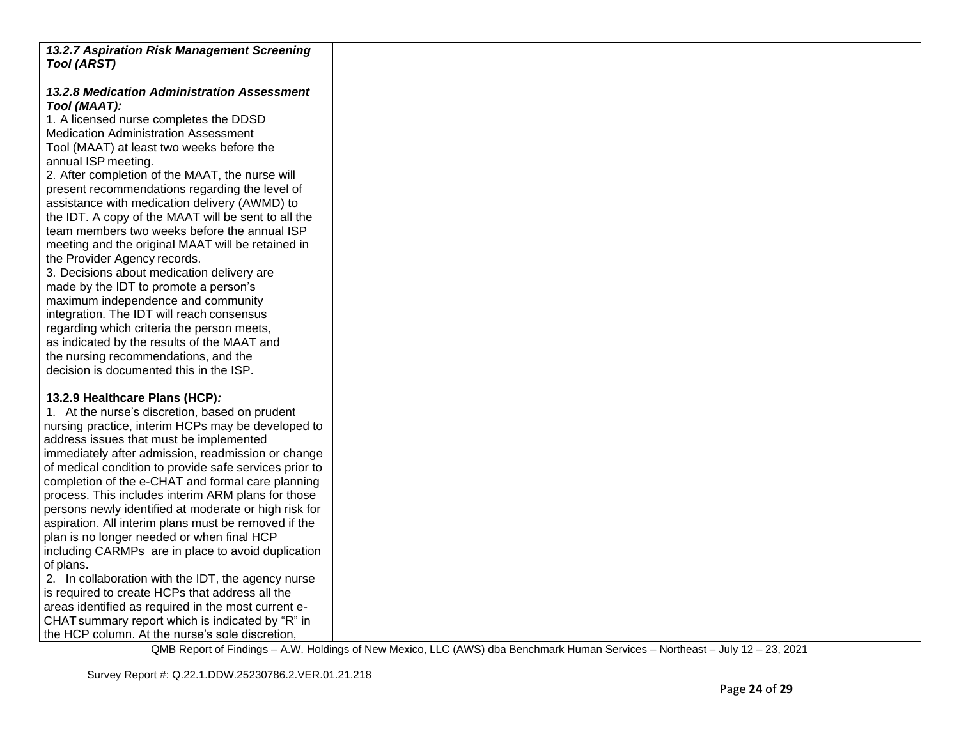| 13.2.7 Aspiration Risk Management Screening            |  |
|--------------------------------------------------------|--|
| <b>Tool (ARST)</b>                                     |  |
|                                                        |  |
| 13.2.8 Medication Administration Assessment            |  |
| Tool (MAAT):                                           |  |
| 1. A licensed nurse completes the DDSD                 |  |
| <b>Medication Administration Assessment</b>            |  |
| Tool (MAAT) at least two weeks before the              |  |
| annual ISP meeting.                                    |  |
|                                                        |  |
| 2. After completion of the MAAT, the nurse will        |  |
| present recommendations regarding the level of         |  |
| assistance with medication delivery (AWMD) to          |  |
| the IDT. A copy of the MAAT will be sent to all the    |  |
| team members two weeks before the annual ISP           |  |
| meeting and the original MAAT will be retained in      |  |
| the Provider Agency records.                           |  |
| 3. Decisions about medication delivery are             |  |
| made by the IDT to promote a person's                  |  |
| maximum independence and community                     |  |
| integration. The IDT will reach consensus              |  |
| regarding which criteria the person meets,             |  |
| as indicated by the results of the MAAT and            |  |
| the nursing recommendations, and the                   |  |
| decision is documented this in the ISP.                |  |
|                                                        |  |
| 13.2.9 Healthcare Plans (HCP):                         |  |
| 1. At the nurse's discretion, based on prudent         |  |
| nursing practice, interim HCPs may be developed to     |  |
| address issues that must be implemented                |  |
| immediately after admission, readmission or change     |  |
| of medical condition to provide safe services prior to |  |
| completion of the e-CHAT and formal care planning      |  |
| process. This includes interim ARM plans for those     |  |
| persons newly identified at moderate or high risk for  |  |
| aspiration. All interim plans must be removed if the   |  |
| plan is no longer needed or when final HCP             |  |
| including CARMPs are in place to avoid duplication     |  |
| of plans.                                              |  |
| 2. In collaboration with the IDT, the agency nurse     |  |
| is required to create HCPs that address all the        |  |
| areas identified as required in the most current e-    |  |
| CHAT summary report which is indicated by "R" in       |  |
| the HCP column. At the nurse's sole discretion,        |  |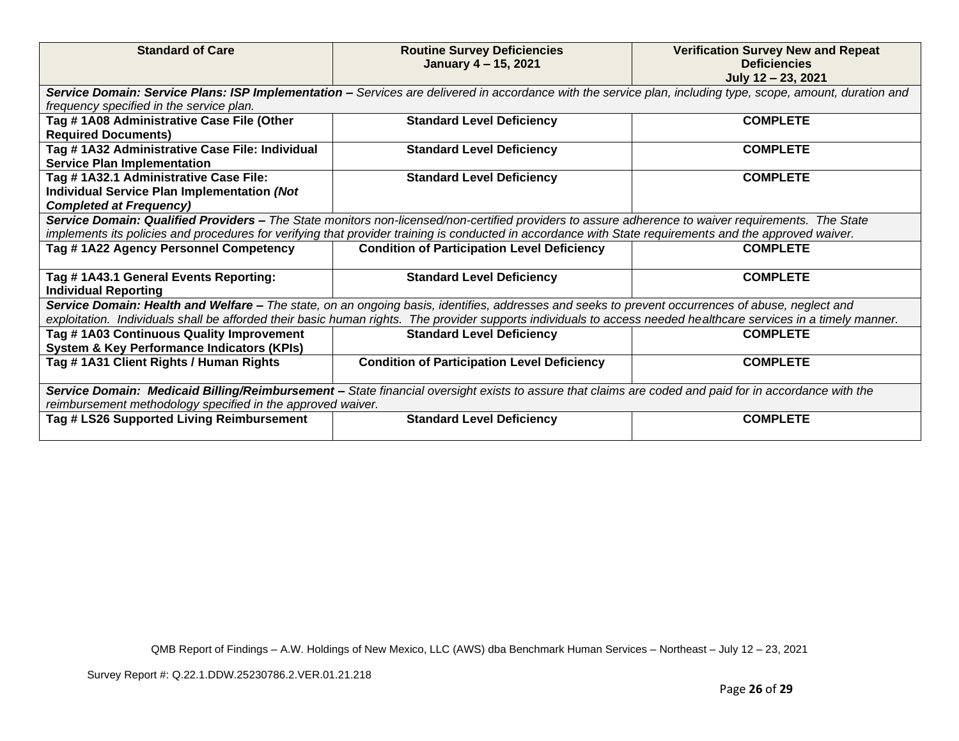| <b>Standard of Care</b>                                                                                                                               | <b>Routine Survey Deficiencies</b><br>January 4 - 15, 2021                                                                                                       | <b>Verification Survey New and Repeat</b><br><b>Deficiencies</b><br>July 12 - 23, 2021 |  |
|-------------------------------------------------------------------------------------------------------------------------------------------------------|------------------------------------------------------------------------------------------------------------------------------------------------------------------|----------------------------------------------------------------------------------------|--|
|                                                                                                                                                       | Service Domain: Service Plans: ISP Implementation - Services are delivered in accordance with the service plan, including type, scope, amount, duration and      |                                                                                        |  |
| frequency specified in the service plan.                                                                                                              |                                                                                                                                                                  |                                                                                        |  |
| Tag #1A08 Administrative Case File (Other                                                                                                             | <b>Standard Level Deficiency</b>                                                                                                                                 | <b>COMPLETE</b>                                                                        |  |
| <b>Required Documents)</b>                                                                                                                            |                                                                                                                                                                  | <b>COMPLETE</b>                                                                        |  |
| Tag # 1A32 Administrative Case File: Individual<br><b>Service Plan Implementation</b>                                                                 | <b>Standard Level Deficiency</b>                                                                                                                                 |                                                                                        |  |
| Tag # 1A32.1 Administrative Case File:                                                                                                                | <b>Standard Level Deficiency</b>                                                                                                                                 | <b>COMPLETE</b>                                                                        |  |
| Individual Service Plan Implementation (Not                                                                                                           |                                                                                                                                                                  |                                                                                        |  |
| <b>Completed at Frequency)</b>                                                                                                                        |                                                                                                                                                                  |                                                                                        |  |
|                                                                                                                                                       | Service Domain: Qualified Providers - The State monitors non-licensed/non-certified providers to assure adherence to waiver requirements. The State              |                                                                                        |  |
|                                                                                                                                                       | implements its policies and procedures for verifying that provider training is conducted in accordance with State requirements and the approved waiver.          |                                                                                        |  |
| Tag #1A22 Agency Personnel Competency                                                                                                                 | <b>Condition of Participation Level Deficiency</b>                                                                                                               | <b>COMPLETE</b>                                                                        |  |
|                                                                                                                                                       |                                                                                                                                                                  |                                                                                        |  |
| Tag #1A43.1 General Events Reporting:                                                                                                                 | <b>Standard Level Deficiency</b>                                                                                                                                 | <b>COMPLETE</b>                                                                        |  |
| <b>Individual Reporting</b>                                                                                                                           |                                                                                                                                                                  |                                                                                        |  |
|                                                                                                                                                       | Service Domain: Health and Welfare - The state, on an ongoing basis, identifies, addresses and seeks to prevent occurrences of abuse, neglect and                |                                                                                        |  |
|                                                                                                                                                       | exploitation. Individuals shall be afforded their basic human rights. The provider supports individuals to access needed healthcare services in a timely manner. |                                                                                        |  |
| Tag #1A03 Continuous Quality Improvement                                                                                                              | <b>Standard Level Deficiency</b>                                                                                                                                 | <b>COMPLETE</b>                                                                        |  |
| <b>System &amp; Key Performance Indicators (KPIs)</b>                                                                                                 |                                                                                                                                                                  |                                                                                        |  |
| Tag #1A31 Client Rights / Human Rights                                                                                                                | <b>Condition of Participation Level Deficiency</b>                                                                                                               | <b>COMPLETE</b>                                                                        |  |
| Service Domain: Medicaid Billing/Reimbursement - State financial oversight exists to assure that claims are coded and paid for in accordance with the |                                                                                                                                                                  |                                                                                        |  |
| reimbursement methodology specified in the approved waiver.                                                                                           |                                                                                                                                                                  |                                                                                        |  |
| Tag # LS26 Supported Living Reimbursement                                                                                                             | <b>Standard Level Deficiency</b>                                                                                                                                 | <b>COMPLETE</b>                                                                        |  |
|                                                                                                                                                       |                                                                                                                                                                  |                                                                                        |  |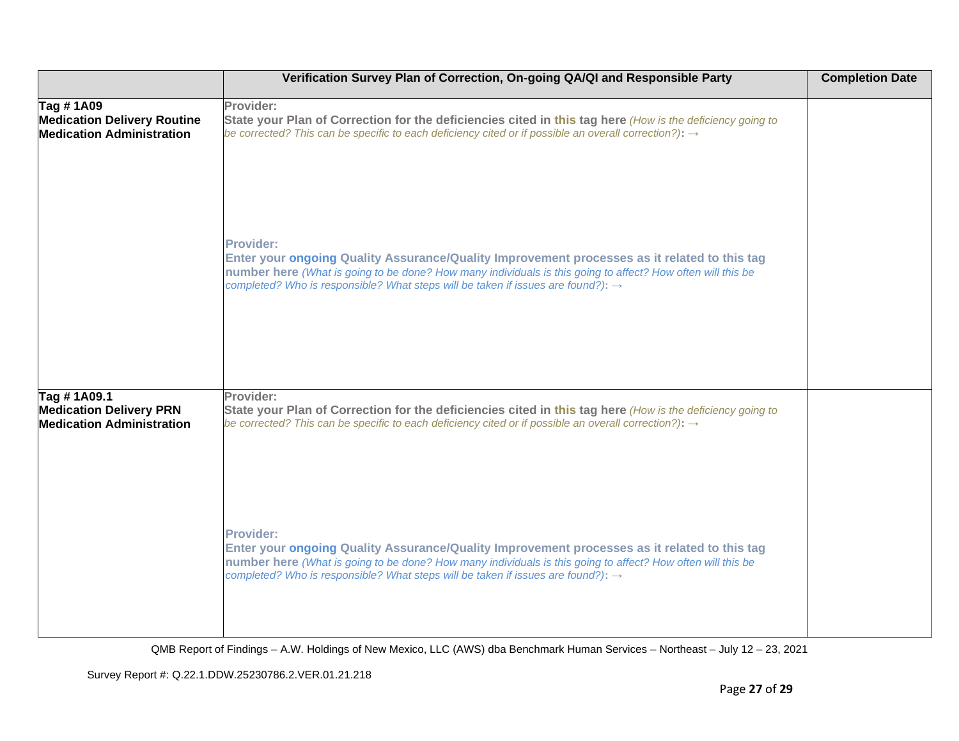|                                                                                     | Verification Survey Plan of Correction, On-going QA/QI and Responsible Party                                                                                                                                                                                                                                                    | <b>Completion Date</b> |
|-------------------------------------------------------------------------------------|---------------------------------------------------------------------------------------------------------------------------------------------------------------------------------------------------------------------------------------------------------------------------------------------------------------------------------|------------------------|
| Tag #1A09<br><b>Medication Delivery Routine</b><br><b>Medication Administration</b> | Provider:<br>State your Plan of Correction for the deficiencies cited in this tag here (How is the deficiency going to<br>be corrected? This can be specific to each deficiency cited or if possible an overall correction?): $\rightarrow$                                                                                     |                        |
|                                                                                     | <b>Provider:</b><br>Enter your ongoing Quality Assurance/Quality Improvement processes as it related to this tag<br>number here (What is going to be done? How many individuals is this going to affect? How often will this be<br>completed? Who is responsible? What steps will be taken if issues are found?): $\rightarrow$ |                        |
| Tag #1A09.1<br><b>Medication Delivery PRN</b><br><b>Medication Administration</b>   | Provider:<br>State your Plan of Correction for the deficiencies cited in this tag here (How is the deficiency going to<br>be corrected? This can be specific to each deficiency cited or if possible an overall correction?): $\rightarrow$                                                                                     |                        |
|                                                                                     | <b>Provider:</b><br>Enter your ongoing Quality Assurance/Quality Improvement processes as it related to this tag<br>number here (What is going to be done? How many individuals is this going to affect? How often will this be<br>completed? Who is responsible? What steps will be taken if issues are found?): $\rightarrow$ |                        |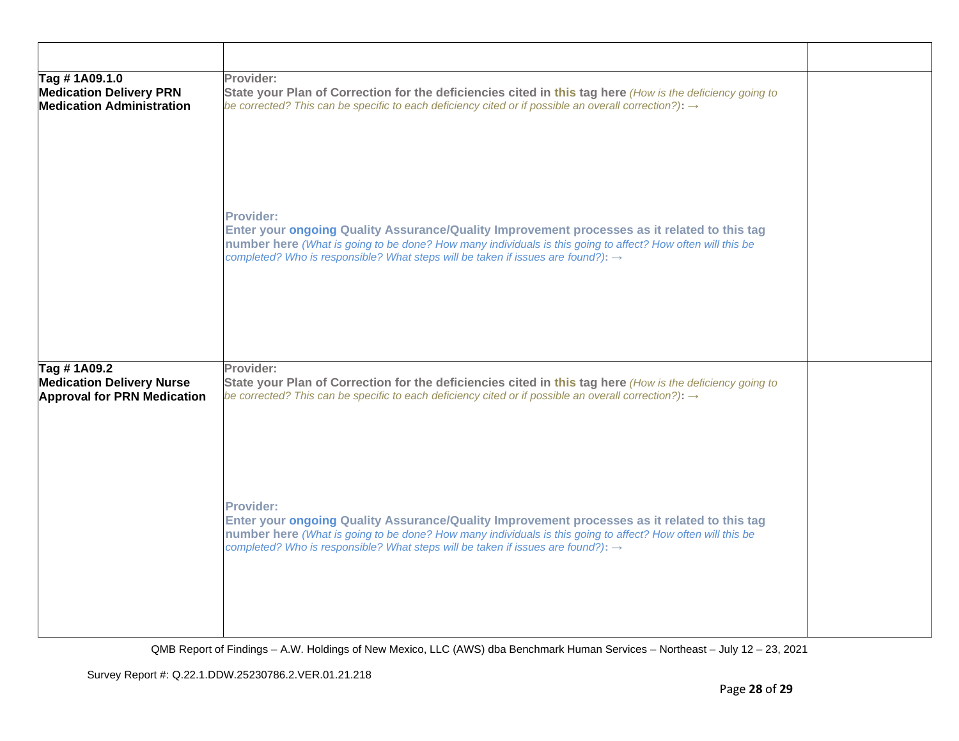| Tag #1A09.1.0<br><b>Medication Delivery PRN</b><br><b>Medication Administration</b>   | Provider:<br>State your Plan of Correction for the deficiencies cited in this tag here (How is the deficiency going to<br>be corrected? This can be specific to each deficiency cited or if possible an overall correction?): $\rightarrow$                                                                                     |  |
|---------------------------------------------------------------------------------------|---------------------------------------------------------------------------------------------------------------------------------------------------------------------------------------------------------------------------------------------------------------------------------------------------------------------------------|--|
|                                                                                       | Provider:<br>Enter your ongoing Quality Assurance/Quality Improvement processes as it related to this tag<br>number here (What is going to be done? How many individuals is this going to affect? How often will this be<br>completed? Who is responsible? What steps will be taken if issues are found?): $\rightarrow$        |  |
| Tag #1A09.2<br><b>Medication Delivery Nurse</b><br><b>Approval for PRN Medication</b> | Provider:<br>State your Plan of Correction for the deficiencies cited in this tag here (How is the deficiency going to<br>be corrected? This can be specific to each deficiency cited or if possible an overall correction?): $\rightarrow$                                                                                     |  |
|                                                                                       | <b>Provider:</b><br>Enter your ongoing Quality Assurance/Quality Improvement processes as it related to this tag<br>number here (What is going to be done? How many individuals is this going to affect? How often will this be<br>completed? Who is responsible? What steps will be taken if issues are found?): $\rightarrow$ |  |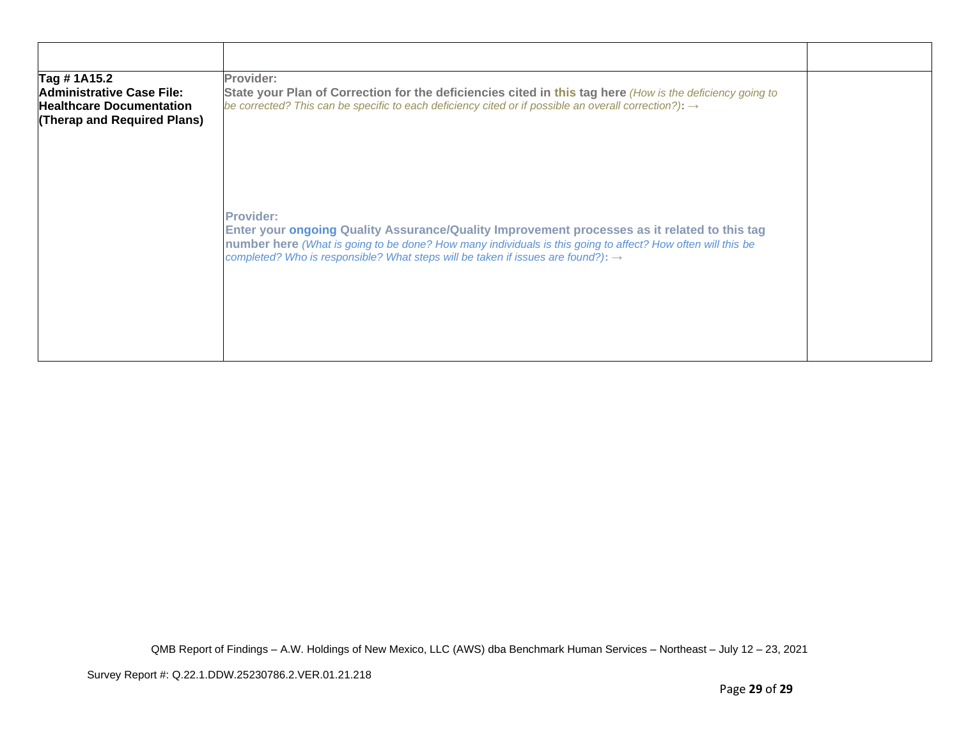| Tag # 1A15.2                                                                                | Provider:                                                                                                                                                                                                                                                                                                                       |  |
|---------------------------------------------------------------------------------------------|---------------------------------------------------------------------------------------------------------------------------------------------------------------------------------------------------------------------------------------------------------------------------------------------------------------------------------|--|
| Administrative Case File:<br><b>Healthcare Documentation</b><br>(Therap and Required Plans) | State your Plan of Correction for the deficiencies cited in this tag here (How is the deficiency going to<br>be corrected? This can be specific to each deficiency cited or if possible an overall correction?): $\rightarrow$                                                                                                  |  |
|                                                                                             | <b>Provider:</b><br>Enter your ongoing Quality Assurance/Quality Improvement processes as it related to this tag<br>number here (What is going to be done? How many individuals is this going to affect? How often will this be<br>completed? Who is responsible? What steps will be taken if issues are found?): $\rightarrow$ |  |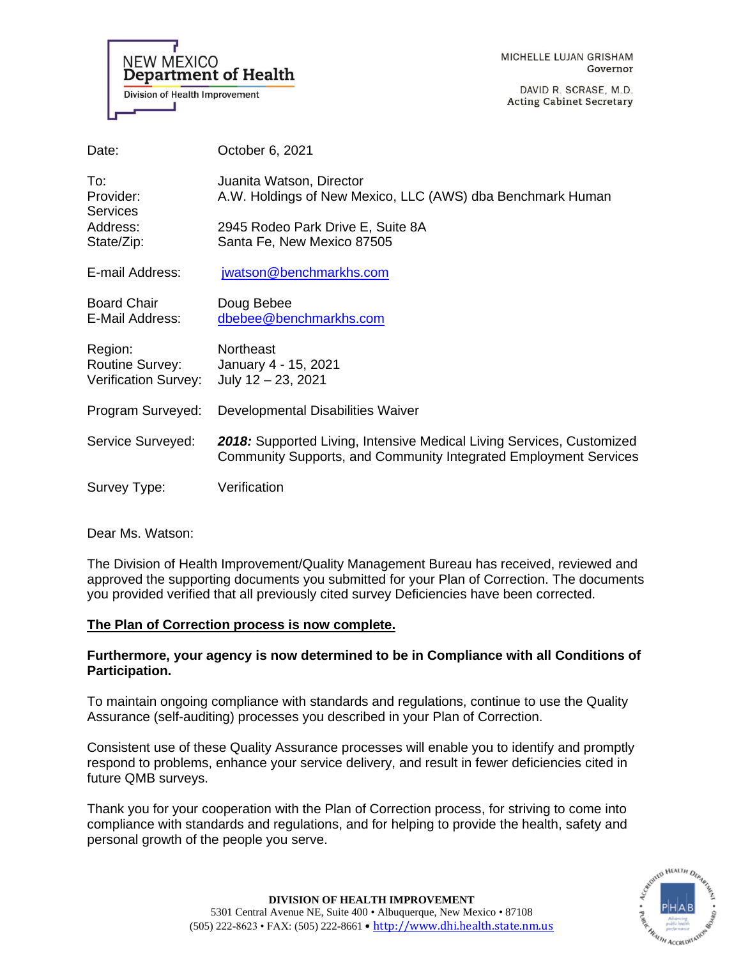

DAVID R. SCRASE, M.D. **Acting Cabinet Secretary** 

| Date:                                                     | October 6, 2021                                                                                                                           |
|-----------------------------------------------------------|-------------------------------------------------------------------------------------------------------------------------------------------|
| To:<br>Provider:<br><b>Services</b>                       | Juanita Watson, Director<br>A.W. Holdings of New Mexico, LLC (AWS) dba Benchmark Human                                                    |
| Address:<br>State/Zip:                                    | 2945 Rodeo Park Drive E, Suite 8A<br>Santa Fe, New Mexico 87505                                                                           |
| E-mail Address:                                           | jwatson@benchmarkhs.com                                                                                                                   |
| <b>Board Chair</b><br>E-Mail Address:                     | Doug Bebee<br>dbebee@benchmarkhs.com                                                                                                      |
| Region:<br><b>Routine Survey:</b><br>Verification Survey: | <b>Northeast</b><br>January 4 - 15, 2021<br>July $12 - 23$ , 2021                                                                         |
| Program Surveyed:                                         | Developmental Disabilities Waiver                                                                                                         |
| Service Surveyed:                                         | 2018: Supported Living, Intensive Medical Living Services, Customized<br>Community Supports, and Community Integrated Employment Services |
| Survey Type:                                              | Verification                                                                                                                              |

Dear Ms. Watson:

The Division of Health Improvement/Quality Management Bureau has received, reviewed and approved the supporting documents you submitted for your Plan of Correction. The documents you provided verified that all previously cited survey Deficiencies have been corrected.

## **The Plan of Correction process is now complete.**

# **Furthermore, your agency is now determined to be in Compliance with all Conditions of Participation.**

To maintain ongoing compliance with standards and regulations, continue to use the Quality Assurance (self-auditing) processes you described in your Plan of Correction.

Consistent use of these Quality Assurance processes will enable you to identify and promptly respond to problems, enhance your service delivery, and result in fewer deficiencies cited in future QMB surveys.

Thank you for your cooperation with the Plan of Correction process, for striving to come into compliance with standards and regulations, and for helping to provide the health, safety and personal growth of the people you serve.